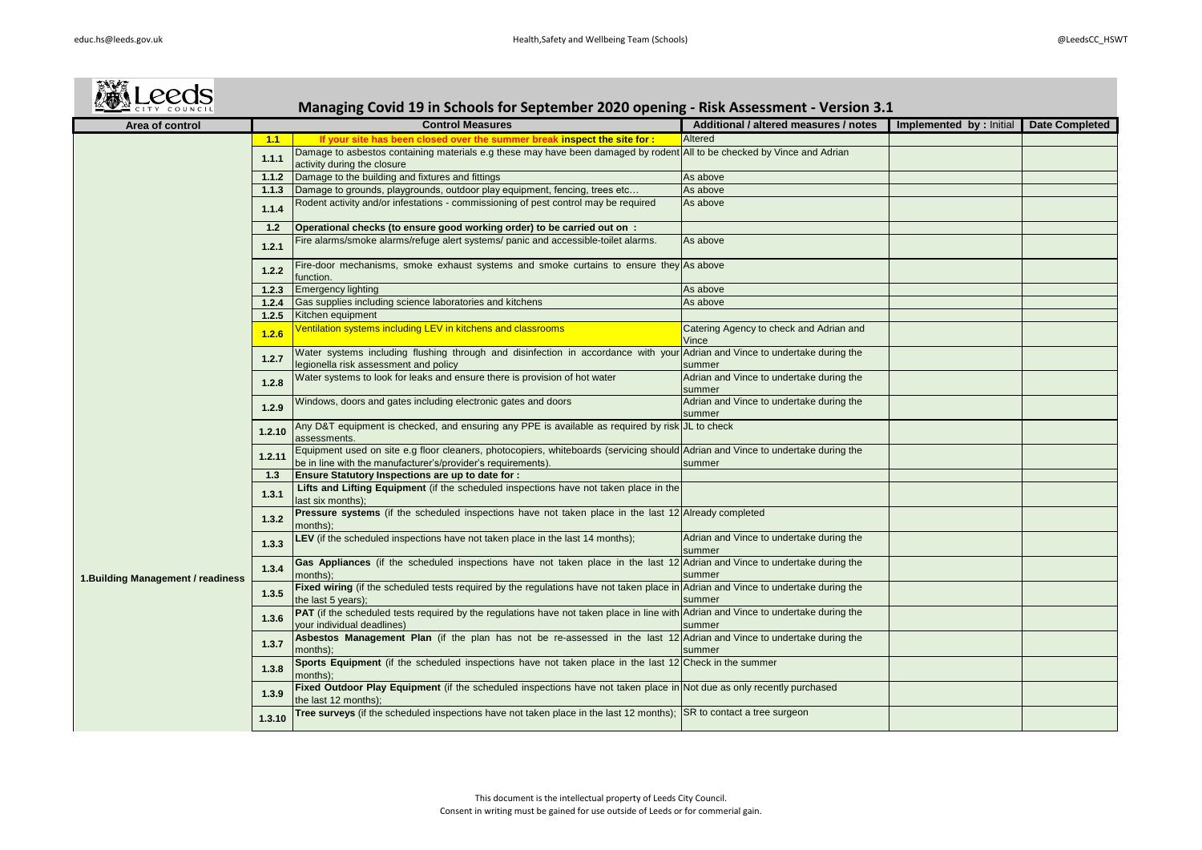| <b>MALeeds</b>                     |        | Managing Covid 19 in Schools for September 2020 opening - Risk Assessment - Version 3.1                                                                                                         |                                                    |                                |                       |
|------------------------------------|--------|-------------------------------------------------------------------------------------------------------------------------------------------------------------------------------------------------|----------------------------------------------------|--------------------------------|-----------------------|
| Area of control                    |        | <b>Control Measures</b>                                                                                                                                                                         | Additional / altered measures / notes              | <b>Implemented by: Initial</b> | <b>Date Completed</b> |
|                                    | 1.1    | If your site has been closed over the summer break inspect the site for :                                                                                                                       | Altered                                            |                                |                       |
|                                    | 1.1.1  | Damage to asbestos containing materials e.g these may have been damaged by rodent All to be checked by Vince and Adrian<br>activity during the closure                                          |                                                    |                                |                       |
|                                    | 1.1.2  | Damage to the building and fixtures and fittings                                                                                                                                                | As above                                           |                                |                       |
|                                    | 1.1.3  | Damage to grounds, playgrounds, outdoor play equipment, fencing, trees etc                                                                                                                      | As above                                           |                                |                       |
|                                    | 1.1.4  | Rodent activity and/or infestations - commissioning of pest control may be required                                                                                                             | As above                                           |                                |                       |
|                                    | 1.2    | Operational checks (to ensure good working order) to be carried out on :                                                                                                                        |                                                    |                                |                       |
|                                    | 1.2.1  | Fire alarms/smoke alarms/refuge alert systems/ panic and accessible-toilet alarms.                                                                                                              | As above                                           |                                |                       |
|                                    | 1.2.2  | Fire-door mechanisms, smoke exhaust systems and smoke curtains to ensure they As above<br>function.                                                                                             |                                                    |                                |                       |
|                                    | 1.2.3  | <b>Emergency lighting</b>                                                                                                                                                                       | As above                                           |                                |                       |
|                                    |        | 1.2.4 Gas supplies including science laboratories and kitchens                                                                                                                                  | As above                                           |                                |                       |
|                                    |        | 1.2.5 Kitchen equipment                                                                                                                                                                         |                                                    |                                |                       |
|                                    | 1.2.6  | Ventilation systems including LEV in kitchens and classrooms                                                                                                                                    | Catering Agency to check and Adrian and<br>Vince   |                                |                       |
|                                    | 1.2.7  | Water systems including flushing through and disinfection in accordance with your Adrian and Vince to undertake during the<br>legionella risk assessment and policy                             | summer                                             |                                |                       |
|                                    | 1.2.8  | Water systems to look for leaks and ensure there is provision of hot water                                                                                                                      | Adrian and Vince to undertake during the<br>summer |                                |                       |
|                                    | 1.2.9  | Windows, doors and gates including electronic gates and doors                                                                                                                                   | Adrian and Vince to undertake during the<br>summer |                                |                       |
|                                    | 1.2.10 | Any D&T equipment is checked, and ensuring any PPE is available as required by risk JL to check<br>assessments.                                                                                 |                                                    |                                |                       |
|                                    | 1.2.11 | Equipment used on site e.g floor cleaners, photocopiers, whiteboards (servicing should Adrian and Vince to undertake during the<br>be in line with the manufacturer's/provider's requirements). | summer                                             |                                |                       |
|                                    | 1.3    | <b>Ensure Statutory Inspections are up to date for:</b>                                                                                                                                         |                                                    |                                |                       |
|                                    | 1.3.1  | Lifts and Lifting Equipment (if the scheduled inspections have not taken place in the<br>last six months);                                                                                      |                                                    |                                |                       |
|                                    | 1.3.2  | <b>Pressure systems</b> (if the scheduled inspections have not taken place in the last 12 Already completed<br>months);                                                                         |                                                    |                                |                       |
|                                    | 1.3.3  | LEV (if the scheduled inspections have not taken place in the last 14 months);                                                                                                                  | Adrian and Vince to undertake during the<br>summer |                                |                       |
| 1. Building Management / readiness | 1.3.4  | Gas Appliances (if the scheduled inspections have not taken place in the last 12 Adrian and Vince to undertake during the<br>months);                                                           | summer                                             |                                |                       |
|                                    | 1.3.5  | Fixed wiring (if the scheduled tests required by the regulations have not taken place in Adrian and Vince to undertake during the<br>the last 5 years);                                         | summer                                             |                                |                       |
|                                    | 1.3.6  | <b>PAT</b> (if the scheduled tests required by the regulations have not taken place in line with Adrian and Vince to undertake during the<br>your individual deadlines)                         | summer                                             |                                |                       |
|                                    | 1.3.7  | Asbestos Management Plan (if the plan has not be re-assessed in the last 12 Adrian and Vince to undertake during the<br>months);                                                                | summer                                             |                                |                       |
|                                    | 1.3.8  | Sports Equipment (if the scheduled inspections have not taken place in the last 12 Check in the summer<br>months);                                                                              |                                                    |                                |                       |
|                                    | 1.3.9  | Fixed Outdoor Play Equipment (if the scheduled inspections have not taken place in Not due as only recently purchased<br>the last 12 months);                                                   |                                                    |                                |                       |
|                                    | 1.3.10 | Tree surveys (if the scheduled inspections have not taken place in the last 12 months); SR to contact a tree surgeon                                                                            |                                                    |                                |                       |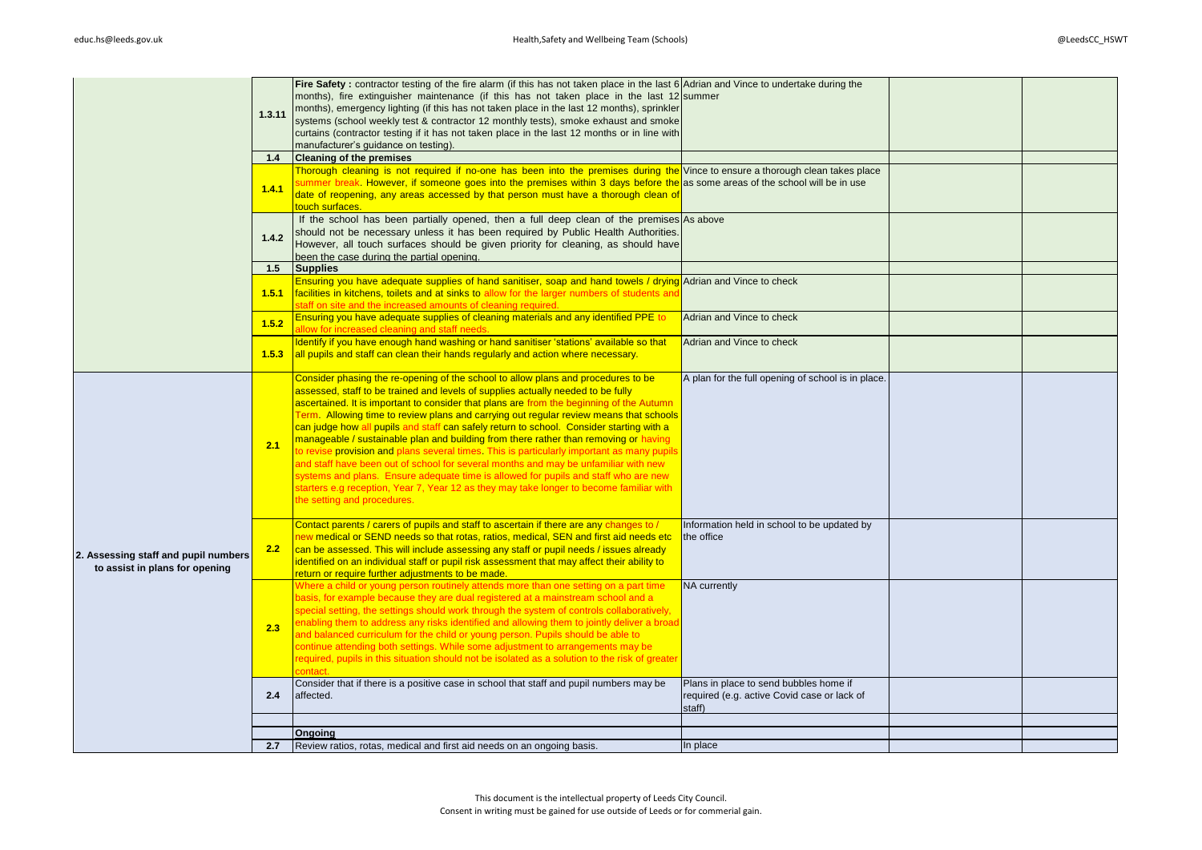|                                      |        | Fire Safety: contractor testing of the fire alarm (if this has not taken place in the last 6 Adrian and Vince to undertake during the<br>months), fire extinguisher maintenance (if this has not taken place in the last 12 summer |                                                       |  |
|--------------------------------------|--------|------------------------------------------------------------------------------------------------------------------------------------------------------------------------------------------------------------------------------------|-------------------------------------------------------|--|
|                                      | 1.3.11 | months), emergency lighting (if this has not taken place in the last 12 months), sprinkler                                                                                                                                         |                                                       |  |
|                                      |        | systems (school weekly test & contractor 12 monthly tests), smoke exhaust and smoke                                                                                                                                                |                                                       |  |
|                                      |        | curtains (contractor testing if it has not taken place in the last 12 months or in line with<br>manufacturer's guidance on testing).                                                                                               |                                                       |  |
|                                      | 1.4    | <b>Cleaning of the premises</b>                                                                                                                                                                                                    |                                                       |  |
|                                      |        | Thorough cleaning is not required if no-one has been into the premises during the Vince to ensure a thorough clean takes place                                                                                                     |                                                       |  |
|                                      | 1.4.1  | summer break. However, if someone goes into the premises within 3 days before the as some areas of the school will be in use                                                                                                       |                                                       |  |
|                                      |        | date of reopening, any areas accessed by that person must have a thorough clean of                                                                                                                                                 |                                                       |  |
|                                      |        | touch surfaces.<br>If the school has been partially opened, then a full deep clean of the premises As above                                                                                                                        |                                                       |  |
|                                      |        | should not be necessary unless it has been required by Public Health Authorities.                                                                                                                                                  |                                                       |  |
|                                      | 1.4.2  | However, all touch surfaces should be given priority for cleaning, as should have                                                                                                                                                  |                                                       |  |
|                                      |        | been the case during the partial opening.                                                                                                                                                                                          |                                                       |  |
|                                      | 1.5    | <b>Supplies</b>                                                                                                                                                                                                                    |                                                       |  |
|                                      | 1.5.1  | Ensuring you have adequate supplies of hand sanitiser, soap and hand towels / drying Adrian and Vince to check<br>facilities in kitchens, toilets and at sinks to allow for the larger numbers of students and                     |                                                       |  |
|                                      |        | staff on site and the increased amounts of cleaning required.                                                                                                                                                                      |                                                       |  |
|                                      | 1.5.2  | Ensuring you have adequate supplies of cleaning materials and any identified PPE to                                                                                                                                                | Adrian and Vince to check                             |  |
|                                      |        | allow for increased cleaning and staff needs.                                                                                                                                                                                      |                                                       |  |
|                                      | 1.5.3  | Identify if you have enough hand washing or hand sanitiser 'stations' available so that<br>all pupils and staff can clean their hands regularly and action where necessary.                                                        | Adrian and Vince to check                             |  |
|                                      |        |                                                                                                                                                                                                                                    |                                                       |  |
|                                      |        | Consider phasing the re-opening of the school to allow plans and procedures to be                                                                                                                                                  | A plan for the full opening of school is in place.    |  |
|                                      |        | assessed, staff to be trained and levels of supplies actually needed to be fully                                                                                                                                                   |                                                       |  |
|                                      |        | ascertained. It is important to consider that plans are from the beginning of the Autumn<br>Term. Allowing time to review plans and carrying out regular review means that schools                                                 |                                                       |  |
|                                      |        | can judge how all pupils and staff can safely return to school. Consider starting with a                                                                                                                                           |                                                       |  |
|                                      | 2.1    | manageable / sustainable plan and building from there rather than removing or having                                                                                                                                               |                                                       |  |
|                                      |        | to revise provision and plans several times. This is particularly important as many pupils<br>and staff have been out of school for several months and may be unfamiliar with new                                                  |                                                       |  |
|                                      |        | systems and plans. Ensure adequate time is allowed for pupils and staff who are new                                                                                                                                                |                                                       |  |
|                                      |        | starters e.g reception, Year 7, Year 12 as they may take longer to become familiar with                                                                                                                                            |                                                       |  |
|                                      |        | the setting and procedures.                                                                                                                                                                                                        |                                                       |  |
|                                      |        | Contact parents / carers of pupils and staff to ascertain if there are any changes to /                                                                                                                                            | Information held in school to be updated by           |  |
|                                      |        | new medical or SEND needs so that rotas, ratios, medical, SEN and first aid needs etc                                                                                                                                              | the office                                            |  |
| 2. Assessing staff and pupil numbers | 2.2    | can be assessed. This will include assessing any staff or pupil needs / issues already                                                                                                                                             |                                                       |  |
| to assist in plans for opening       |        | identified on an individual staff or pupil risk assessment that may affect their ability to                                                                                                                                        |                                                       |  |
|                                      |        | return or require further adjustments to be made.<br>Where a child or young person routinely attends more than one setting on a part time                                                                                          | NA currently                                          |  |
|                                      |        | basis, for example because they are dual registered at a mainstream school and a                                                                                                                                                   |                                                       |  |
|                                      |        | special setting, the settings should work through the system of controls collaboratively,                                                                                                                                          |                                                       |  |
|                                      | 2.3    | enabling them to address any risks identified and allowing them to jointly deliver a broad                                                                                                                                         |                                                       |  |
|                                      |        | and balanced curriculum for the child or young person. Pupils should be able to<br>continue attending both settings. While some adjustment to arrangements may be                                                                  |                                                       |  |
|                                      |        | required, pupils in this situation should not be isolated as a solution to the risk of greater                                                                                                                                     |                                                       |  |
|                                      |        |                                                                                                                                                                                                                                    |                                                       |  |
|                                      |        | Consider that if there is a positive case in school that staff and pupil numbers may be                                                                                                                                            | Plans in place to send bubbles home if                |  |
|                                      | 2.4    | affected.                                                                                                                                                                                                                          | required (e.g. active Covid case or lack of<br>staff) |  |
|                                      |        |                                                                                                                                                                                                                                    |                                                       |  |
|                                      |        | Ongoing                                                                                                                                                                                                                            |                                                       |  |
|                                      | 2.7    | Review ratios, rotas, medical and first aid needs on an ongoing basis.                                                                                                                                                             | In place                                              |  |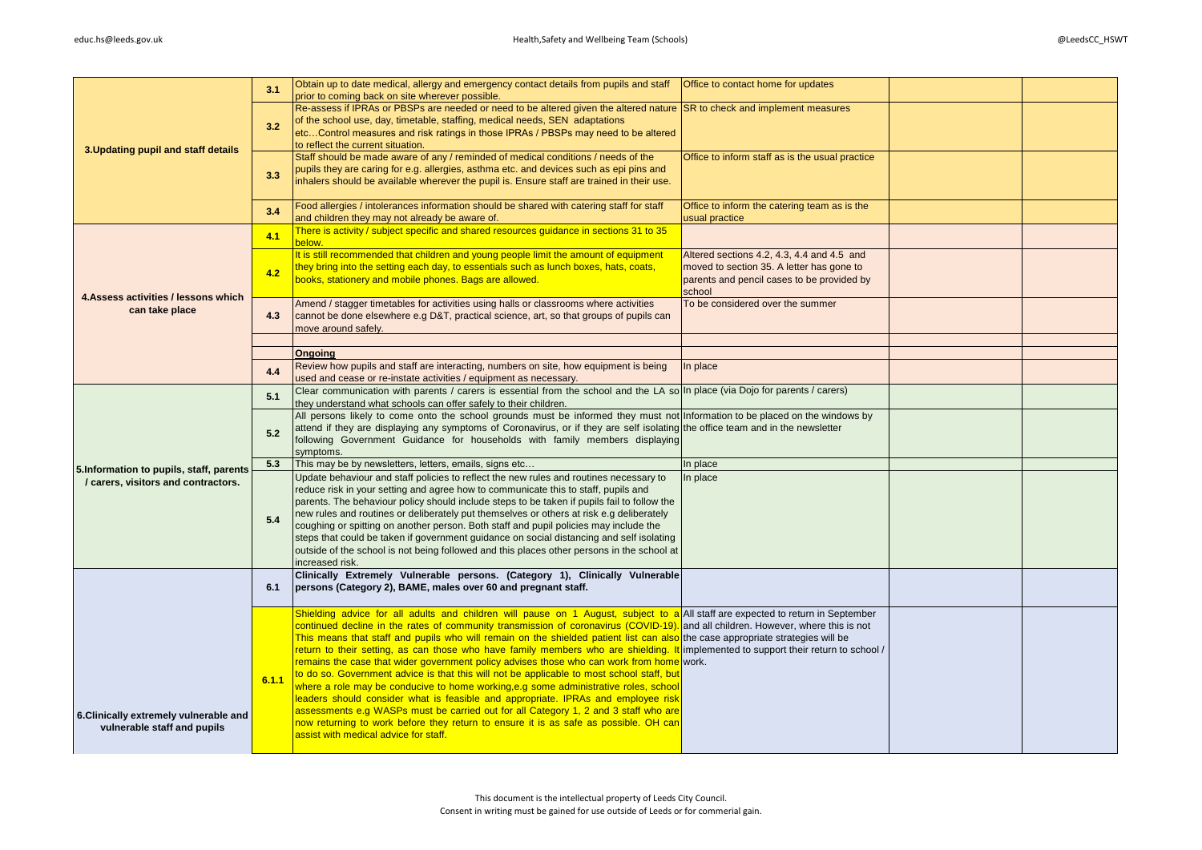|                                                                                 | 3.1   | Obtain up to date medical, allergy and emergency contact details from pupils and staff   Office to contact home for updates<br>prior to coming back on site wherever possible.                                                                                                                                                                                                                                                                                                                                                                                                                                                                                                                                                                                                                                                                                                                                                                                                                                                                                                                   |                                                                                                                                                 |  |
|---------------------------------------------------------------------------------|-------|--------------------------------------------------------------------------------------------------------------------------------------------------------------------------------------------------------------------------------------------------------------------------------------------------------------------------------------------------------------------------------------------------------------------------------------------------------------------------------------------------------------------------------------------------------------------------------------------------------------------------------------------------------------------------------------------------------------------------------------------------------------------------------------------------------------------------------------------------------------------------------------------------------------------------------------------------------------------------------------------------------------------------------------------------------------------------------------------------|-------------------------------------------------------------------------------------------------------------------------------------------------|--|
| 3. Updating pupil and staff details                                             | 3.2   | Re-assess if IPRAs or PBSPs are needed or need to be altered given the altered nature SR to check and implement measures<br>of the school use, day, timetable, staffing, medical needs, SEN adaptations<br>etcControl measures and risk ratings in those IPRAs / PBSPs may need to be altered<br>to reflect the current situation.                                                                                                                                                                                                                                                                                                                                                                                                                                                                                                                                                                                                                                                                                                                                                               |                                                                                                                                                 |  |
|                                                                                 | 3.3   | Staff should be made aware of any / reminded of medical conditions / needs of the<br>pupils they are caring for e.g. allergies, asthma etc. and devices such as epi pins and<br>inhalers should be available wherever the pupil is. Ensure staff are trained in their use.                                                                                                                                                                                                                                                                                                                                                                                                                                                                                                                                                                                                                                                                                                                                                                                                                       | Office to inform staff as is the usual practice                                                                                                 |  |
|                                                                                 | 3.4   | Food allergies / intolerances information should be shared with catering staff for staff<br>and children they may not already be aware of.                                                                                                                                                                                                                                                                                                                                                                                                                                                                                                                                                                                                                                                                                                                                                                                                                                                                                                                                                       | Office to inform the catering team as is the<br>usual practice                                                                                  |  |
|                                                                                 | 4.1   | There is activity / subject specific and shared resources quidance in sections 31 to 35<br>below.                                                                                                                                                                                                                                                                                                                                                                                                                                                                                                                                                                                                                                                                                                                                                                                                                                                                                                                                                                                                |                                                                                                                                                 |  |
|                                                                                 | 4.2   | It is still recommended that children and young people limit the amount of equipment<br>they bring into the setting each day, to essentials such as lunch boxes, hats, coats,<br>books, stationery and mobile phones. Bags are allowed.                                                                                                                                                                                                                                                                                                                                                                                                                                                                                                                                                                                                                                                                                                                                                                                                                                                          | Altered sections 4.2, 4.3, 4.4 and 4.5 and<br>moved to section 35. A letter has gone to<br>parents and pencil cases to be provided by<br>school |  |
| 4. Assess activities / lessons which<br>can take place                          | 4.3   | Amend / stagger timetables for activities using halls or classrooms where activities<br>cannot be done elsewhere e.g D&T, practical science, art, so that groups of pupils can<br>move around safely.                                                                                                                                                                                                                                                                                                                                                                                                                                                                                                                                                                                                                                                                                                                                                                                                                                                                                            | To be considered over the summer                                                                                                                |  |
|                                                                                 |       | <b>Ongoing</b>                                                                                                                                                                                                                                                                                                                                                                                                                                                                                                                                                                                                                                                                                                                                                                                                                                                                                                                                                                                                                                                                                   |                                                                                                                                                 |  |
|                                                                                 | 4.4   | Review how pupils and staff are interacting, numbers on site, how equipment is being<br>used and cease or re-instate activities / equipment as necessary.                                                                                                                                                                                                                                                                                                                                                                                                                                                                                                                                                                                                                                                                                                                                                                                                                                                                                                                                        | In place                                                                                                                                        |  |
|                                                                                 | 5.1   | Clear communication with parents / carers is essential from the school and the LA so In place (via Dojo for parents / carers)<br>they understand what schools can offer safely to their children.                                                                                                                                                                                                                                                                                                                                                                                                                                                                                                                                                                                                                                                                                                                                                                                                                                                                                                |                                                                                                                                                 |  |
|                                                                                 | 5.2   | All persons likely to come onto the school grounds must be informed they must not Information to be placed on the windows by<br>attend if they are displaying any symptoms of Coronavirus, or if they are self isolating the office team and in the newsletter<br>following Government Guidance for households with family members displaying<br>symptoms.                                                                                                                                                                                                                                                                                                                                                                                                                                                                                                                                                                                                                                                                                                                                       |                                                                                                                                                 |  |
|                                                                                 | 5.3   | This may be by newsletters, letters, emails, signs etc                                                                                                                                                                                                                                                                                                                                                                                                                                                                                                                                                                                                                                                                                                                                                                                                                                                                                                                                                                                                                                           | In place                                                                                                                                        |  |
| 5. Information to pupils, staff, parents<br>/ carers, visitors and contractors. | 5.4   | Update behaviour and staff policies to reflect the new rules and routines necessary to<br>reduce risk in your setting and agree how to communicate this to staff, pupils and<br>parents. The behaviour policy should include steps to be taken if pupils fail to follow the<br>new rules and routines or deliberately put themselves or others at risk e.g deliberately<br>coughing or spitting on another person. Both staff and pupil policies may include the<br>steps that could be taken if government guidance on social distancing and self isolating<br>outside of the school is not being followed and this places other persons in the school at<br>increased risk.                                                                                                                                                                                                                                                                                                                                                                                                                    | In place                                                                                                                                        |  |
|                                                                                 | 6.1   | Clinically Extremely Vulnerable persons. (Category 1), Clinically Vulnerable<br>persons (Category 2), BAME, males over 60 and pregnant staff.                                                                                                                                                                                                                                                                                                                                                                                                                                                                                                                                                                                                                                                                                                                                                                                                                                                                                                                                                    |                                                                                                                                                 |  |
| 6. Clinically extremely vulnerable and<br>vulnerable staff and pupils           | 6.1.1 | Shielding advice for all adults and children will pause on 1 August, subject to a All staff are expected to return in September<br>continued decline in the rates of community transmission of coronavirus (COVID-19). and all children. However, where this is not<br>This means that staff and pupils who will remain on the shielded patient list can also the case appropriate strategies will be<br>return to their setting, as can those who have family members who are shielding. It implemented to support their return to school,<br>remains the case that wider government policy advises those who can work from home work.<br>to do so. Government advice is that this will not be applicable to most school staff, but<br>where a role may be conducive to home working, e.g some administrative roles, school<br>leaders should consider what is feasible and appropriate. IPRAs and employee risk<br>assessments e.g WASPs must be carried out for all Category 1, 2 and 3 staff who are<br>now returning to work before they return to ensure it is as safe as possible. OH car |                                                                                                                                                 |  |
|                                                                                 |       | assist with medical advice for staff.                                                                                                                                                                                                                                                                                                                                                                                                                                                                                                                                                                                                                                                                                                                                                                                                                                                                                                                                                                                                                                                            |                                                                                                                                                 |  |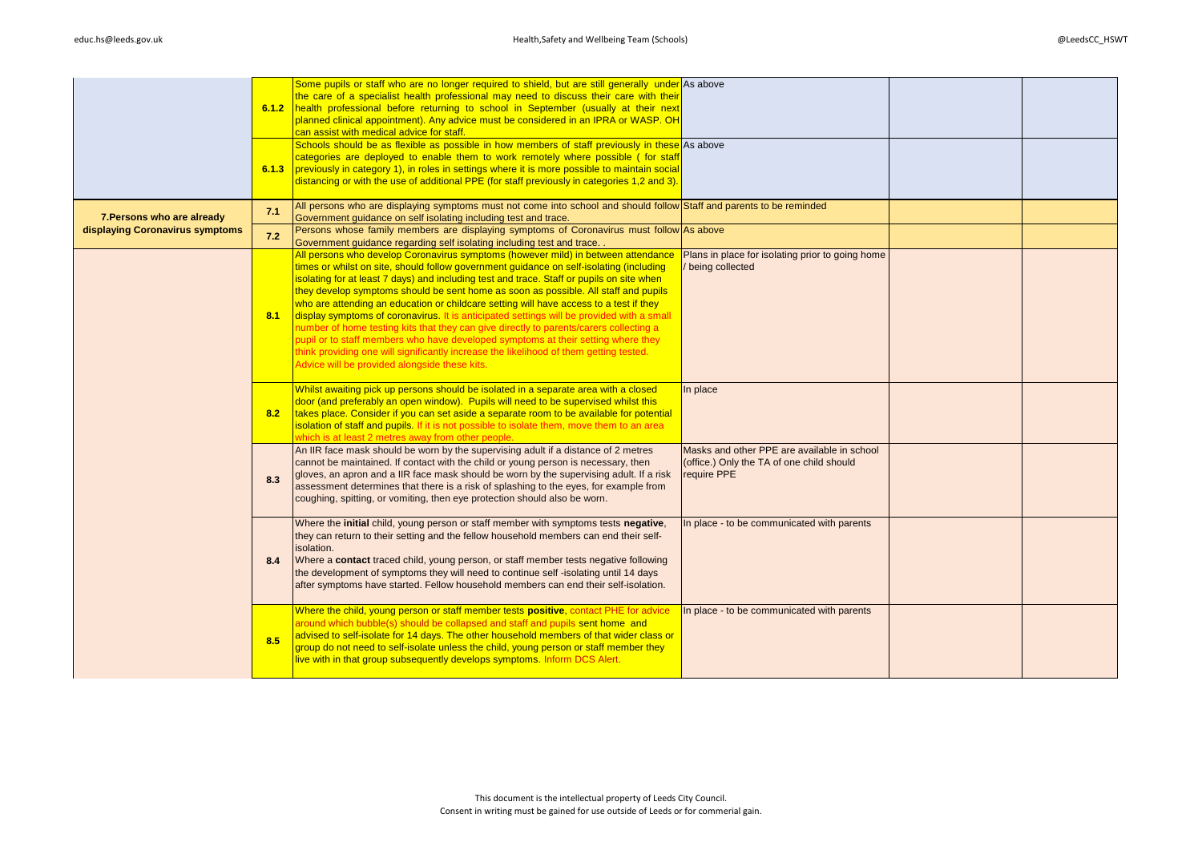|                                 | 6.1.2 | Some pupils or staff who are no longer required to shield, but are still generally under As above<br>the care of a specialist health professional may need to discuss their care with their<br>health professional before returning to school in September (usually at their next<br>planned clinical appointment). Any advice must be considered in an IPRA or WASP. OH<br>can assist with medical advice for staff.<br>Schools should be as flexible as possible in how members of staff previously in these As above<br>categories are deployed to enable them to work remotely where possible (for staff                                                                                                                                                                                                                                                                      |                                                                                                         |  |
|---------------------------------|-------|-----------------------------------------------------------------------------------------------------------------------------------------------------------------------------------------------------------------------------------------------------------------------------------------------------------------------------------------------------------------------------------------------------------------------------------------------------------------------------------------------------------------------------------------------------------------------------------------------------------------------------------------------------------------------------------------------------------------------------------------------------------------------------------------------------------------------------------------------------------------------------------|---------------------------------------------------------------------------------------------------------|--|
|                                 | 6.1.3 | previously in category 1), in roles in settings where it is more possible to maintain social<br>distancing or with the use of additional PPE (for staff previously in categories 1,2 and 3).                                                                                                                                                                                                                                                                                                                                                                                                                                                                                                                                                                                                                                                                                      |                                                                                                         |  |
| 7. Persons who are already      | 7.1   | All persons who are displaying symptoms must not come into school and should follow Staff and parents to be reminded<br>Government guidance on self isolating including test and trace.                                                                                                                                                                                                                                                                                                                                                                                                                                                                                                                                                                                                                                                                                           |                                                                                                         |  |
| displaying Coronavirus symptoms | 7.2   | Persons whose family members are displaying symptoms of Coronavirus must follow As above<br>Government guidance regarding self isolating including test and trace.                                                                                                                                                                                                                                                                                                                                                                                                                                                                                                                                                                                                                                                                                                                |                                                                                                         |  |
|                                 | 8.1   | All persons who develop Coronavirus symptoms (however mild) in between attendance<br>times or whilst on site, should follow government guidance on self-isolating (including<br>isolating for at least 7 days) and including test and trace. Staff or pupils on site when<br>they develop symptoms should be sent home as soon as possible. All staff and pupils<br>who are attending an education or childcare setting will have access to a test if they<br>display symptoms of coronavirus. It is anticipated settings will be provided with a small<br>number of home testing kits that they can give directly to parents/carers collecting a<br>pupil or to staff members who have developed symptoms at their setting where they<br>think providing one will significantly increase the likelihood of them getting tested.<br>Advice will be provided alongside these kits. | Plans in place for isolating prior to going home<br>being collected                                     |  |
|                                 | 8.2   | Whilst awaiting pick up persons should be isolated in a separate area with a closed<br>door (and preferably an open window). Pupils will need to be supervised whilst this<br>takes place. Consider if you can set aside a separate room to be available for potential<br>isolation of staff and pupils. If it is not possible to isolate them, move them to an area<br>which is at least 2 metres away from other people.                                                                                                                                                                                                                                                                                                                                                                                                                                                        | In place                                                                                                |  |
|                                 | 8.3   | An IIR face mask should be worn by the supervising adult if a distance of 2 metres<br>cannot be maintained. If contact with the child or young person is necessary, then<br>gloves, an apron and a IIR face mask should be worn by the supervising adult. If a risk<br>assessment determines that there is a risk of splashing to the eyes, for example from<br>coughing, spitting, or vomiting, then eye protection should also be worn.                                                                                                                                                                                                                                                                                                                                                                                                                                         | Masks and other PPE are available in school<br>(office.) Only the TA of one child should<br>require PPE |  |
|                                 | 8.4   | Where the initial child, young person or staff member with symptoms tests negative,<br>they can return to their setting and the fellow household members can end their self-<br>isolation.<br>Where a contact traced child, young person, or staff member tests negative following<br>the development of symptoms they will need to continue self -isolating until 14 days<br>after symptoms have started. Fellow household members can end their self-isolation.                                                                                                                                                                                                                                                                                                                                                                                                                 | In place - to be communicated with parents                                                              |  |
|                                 | 8.5   | Where the child, young person or staff member tests positive, contact PHE for advice<br>around which bubble(s) should be collapsed and staff and pupils sent home and<br>advised to self-isolate for 14 days. The other household members of that wider class or<br>group do not need to self-isolate unless the child, young person or staff member they<br>live with in that group subsequently develops symptoms. Inform DCS Alert.                                                                                                                                                                                                                                                                                                                                                                                                                                            | In place - to be communicated with parents                                                              |  |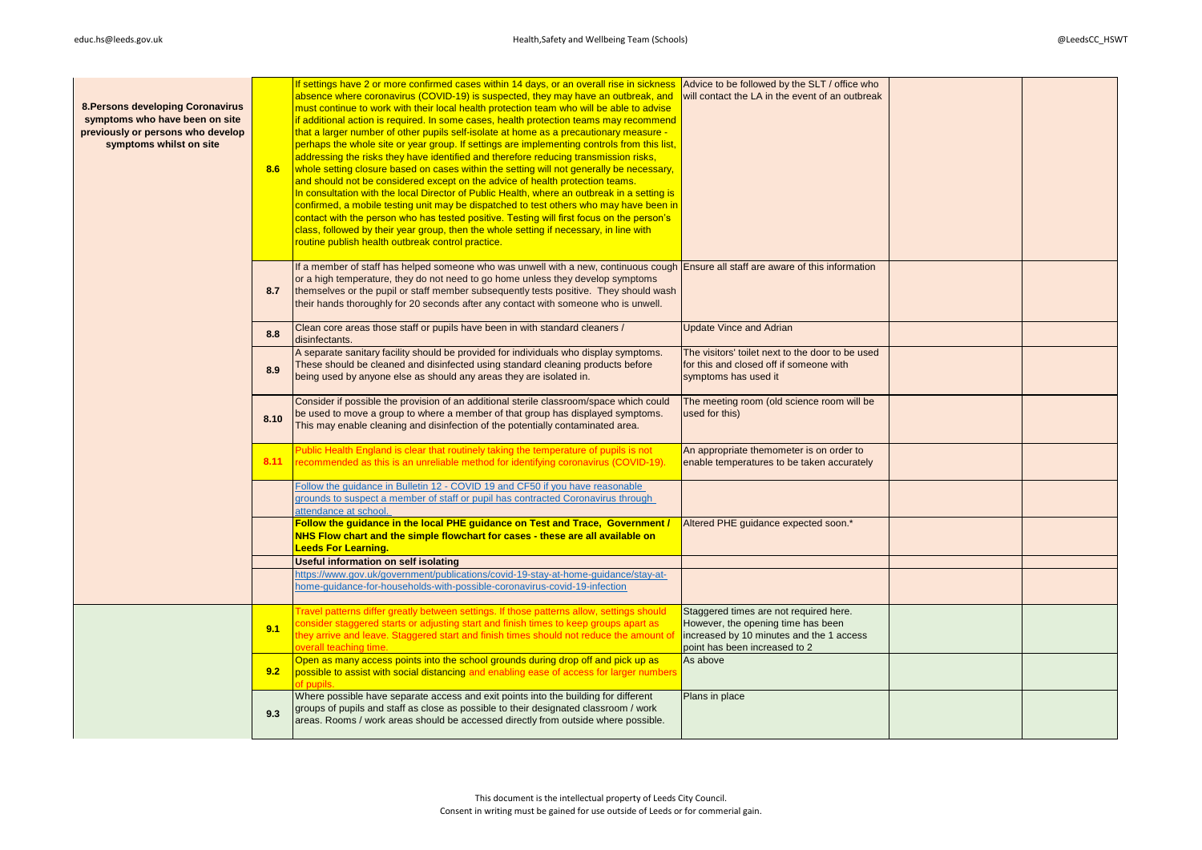| 8. Persons developing Coronavirus<br>symptoms who have been on site<br>previously or persons who develop<br>symptoms whilst on site | 8.6  | If settings have 2 or more confirmed cases within 14 days, or an overall rise in sickness<br>absence where coronavirus (COVID-19) is suspected, they may have an outbreak, and<br>must continue to work with their local health protection team who will be able to advise<br>if additional action is required. In some cases, health protection teams may recommend<br>that a larger number of other pupils self-isolate at home as a precautionary measure -<br>perhaps the whole site or year group. If settings are implementing controls from this list,<br>addressing the risks they have identified and therefore reducing transmission risks,<br>whole setting closure based on cases within the setting will not generally be necessary,<br>and should not be considered except on the advice of health protection teams.<br>In consultation with the local Director of Public Health, where an outbreak in a setting is<br>confirmed, a mobile testing unit may be dispatched to test others who may have been in<br>contact with the person who has tested positive. Testing will first focus on the person's<br>class, followed by their year group, then the whole setting if necessary, in line with<br>routine publish health outbreak control practice. | Advice to be followed by the SLT / office who<br>will contact the LA in the event of an outbreak                                                          |  |
|-------------------------------------------------------------------------------------------------------------------------------------|------|-------------------------------------------------------------------------------------------------------------------------------------------------------------------------------------------------------------------------------------------------------------------------------------------------------------------------------------------------------------------------------------------------------------------------------------------------------------------------------------------------------------------------------------------------------------------------------------------------------------------------------------------------------------------------------------------------------------------------------------------------------------------------------------------------------------------------------------------------------------------------------------------------------------------------------------------------------------------------------------------------------------------------------------------------------------------------------------------------------------------------------------------------------------------------------------------------------------------------------------------------------------------------|-----------------------------------------------------------------------------------------------------------------------------------------------------------|--|
|                                                                                                                                     | 8.7  | If a member of staff has helped someone who was unwell with a new, continuous cough Ensure all staff are aware of this information<br>or a high temperature, they do not need to go home unless they develop symptoms<br>themselves or the pupil or staff member subsequently tests positive. They should wash<br>their hands thoroughly for 20 seconds after any contact with someone who is unwell.                                                                                                                                                                                                                                                                                                                                                                                                                                                                                                                                                                                                                                                                                                                                                                                                                                                                   |                                                                                                                                                           |  |
|                                                                                                                                     | 8.8  | Clean core areas those staff or pupils have been in with standard cleaners /<br>disinfectants.                                                                                                                                                                                                                                                                                                                                                                                                                                                                                                                                                                                                                                                                                                                                                                                                                                                                                                                                                                                                                                                                                                                                                                          | <b>Update Vince and Adrian</b>                                                                                                                            |  |
|                                                                                                                                     | 8.9  | A separate sanitary facility should be provided for individuals who display symptoms.<br>These should be cleaned and disinfected using standard cleaning products before<br>being used by anyone else as should any areas they are isolated in.                                                                                                                                                                                                                                                                                                                                                                                                                                                                                                                                                                                                                                                                                                                                                                                                                                                                                                                                                                                                                         | The visitors' toilet next to the door to be used<br>for this and closed off if someone with<br>symptoms has used it                                       |  |
|                                                                                                                                     | 8.10 | Consider if possible the provision of an additional sterile classroom/space which could<br>be used to move a group to where a member of that group has displayed symptoms.<br>This may enable cleaning and disinfection of the potentially contaminated area.                                                                                                                                                                                                                                                                                                                                                                                                                                                                                                                                                                                                                                                                                                                                                                                                                                                                                                                                                                                                           | The meeting room (old science room will be<br>used for this)                                                                                              |  |
|                                                                                                                                     | 8.11 | Public Health England is clear that routinely taking the temperature of pupils is not<br>recommended as this is an unreliable method for identifying coronavirus (COVID-19).                                                                                                                                                                                                                                                                                                                                                                                                                                                                                                                                                                                                                                                                                                                                                                                                                                                                                                                                                                                                                                                                                            | An appropriate themometer is on order to<br>enable temperatures to be taken accurately                                                                    |  |
|                                                                                                                                     |      | Follow the quidance in Bulletin 12 - COVID 19 and CF50 if you have reasonable<br>grounds to suspect a member of staff or pupil has contracted Coronavirus through<br>attendance at school.                                                                                                                                                                                                                                                                                                                                                                                                                                                                                                                                                                                                                                                                                                                                                                                                                                                                                                                                                                                                                                                                              |                                                                                                                                                           |  |
|                                                                                                                                     |      | Follow the guidance in the local PHE guidance on Test and Trace, Government /<br>NHS Flow chart and the simple flowchart for cases - these are all available on<br><b>Leeds For Learning.</b>                                                                                                                                                                                                                                                                                                                                                                                                                                                                                                                                                                                                                                                                                                                                                                                                                                                                                                                                                                                                                                                                           | Altered PHE guidance expected soon.*                                                                                                                      |  |
|                                                                                                                                     |      | Useful information on self isolating                                                                                                                                                                                                                                                                                                                                                                                                                                                                                                                                                                                                                                                                                                                                                                                                                                                                                                                                                                                                                                                                                                                                                                                                                                    |                                                                                                                                                           |  |
|                                                                                                                                     |      | https://www.gov.uk/government/publications/covid-19-stay-at-home-guidance/stay-at-<br>nome-quidance-for-households-with-possible-coronavirus-covid-19-infection                                                                                                                                                                                                                                                                                                                                                                                                                                                                                                                                                                                                                                                                                                                                                                                                                                                                                                                                                                                                                                                                                                         |                                                                                                                                                           |  |
|                                                                                                                                     | 9.1  | Fravel patterns differ greatly between settings. If those patterns allow, settings should<br>consider staggered starts or adjusting start and finish times to keep groups apart as<br>they arrive and leave. Staggered start and finish times should not reduce the amount of<br>overall teaching time.                                                                                                                                                                                                                                                                                                                                                                                                                                                                                                                                                                                                                                                                                                                                                                                                                                                                                                                                                                 | Staggered times are not required here.<br>However, the opening time has been<br>increased by 10 minutes and the 1 access<br>point has been increased to 2 |  |
|                                                                                                                                     | 9.2  | Open as many access points into the school grounds during drop off and pick up as<br>possible to assist with social distancing and enabling ease of access for larger numbers<br>of pupils                                                                                                                                                                                                                                                                                                                                                                                                                                                                                                                                                                                                                                                                                                                                                                                                                                                                                                                                                                                                                                                                              | As above                                                                                                                                                  |  |
|                                                                                                                                     | 9.3  | Where possible have separate access and exit points into the building for different<br>groups of pupils and staff as close as possible to their designated classroom / work<br>areas. Rooms / work areas should be accessed directly from outside where possible.                                                                                                                                                                                                                                                                                                                                                                                                                                                                                                                                                                                                                                                                                                                                                                                                                                                                                                                                                                                                       | Plans in place                                                                                                                                            |  |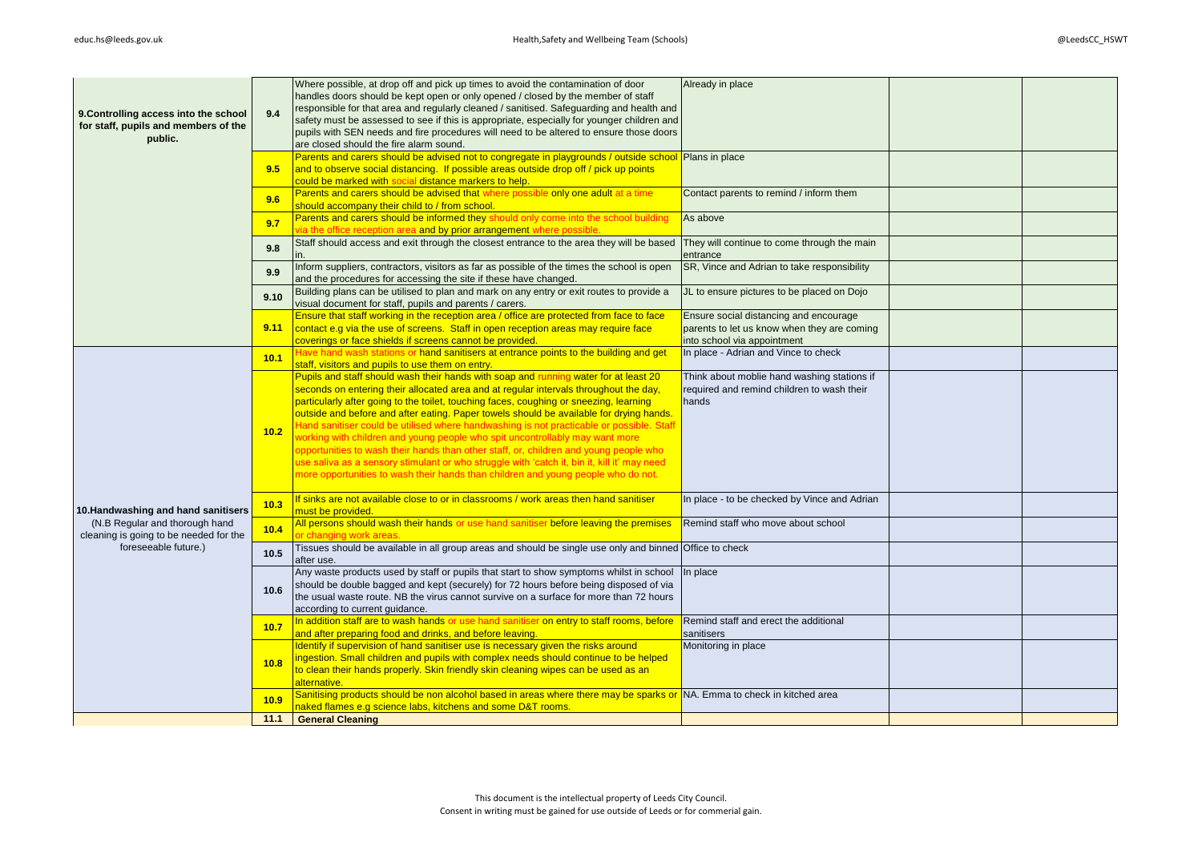| 9. Controlling access into the school<br>for staff, pupils and members of the<br>public. | 9.4  | Where possible, at drop off and pick up times to avoid the contamination of door<br>handles doors should be kept open or only opened / closed by the member of staff<br>responsible for that area and regularly cleaned / sanitised. Safeguarding and health and<br>safety must be assessed to see if this is appropriate, especially for younger children and<br>pupils with SEN needs and fire procedures will need to be altered to ensure those doors<br>are closed should the fire alarm sound.                                                                                                                                                                                                                                                                                                                        | Already in place                                                                                                     |  |
|------------------------------------------------------------------------------------------|------|-----------------------------------------------------------------------------------------------------------------------------------------------------------------------------------------------------------------------------------------------------------------------------------------------------------------------------------------------------------------------------------------------------------------------------------------------------------------------------------------------------------------------------------------------------------------------------------------------------------------------------------------------------------------------------------------------------------------------------------------------------------------------------------------------------------------------------|----------------------------------------------------------------------------------------------------------------------|--|
|                                                                                          | 9.5  | Parents and carers should be advised not to congregate in playgrounds / outside school Plans in place<br>and to observe social distancing. If possible areas outside drop off / pick up points<br>could be marked with social distance markers to help.                                                                                                                                                                                                                                                                                                                                                                                                                                                                                                                                                                     |                                                                                                                      |  |
|                                                                                          | 9.6  | Parents and carers should be advised that where possible only one adult at a time<br>should accompany their child to / from school.                                                                                                                                                                                                                                                                                                                                                                                                                                                                                                                                                                                                                                                                                         | Contact parents to remind / inform them                                                                              |  |
|                                                                                          | 9.7  | Parents and carers should be informed they should only come into the school building<br>ia the office reception area and by prior arrangement where possible.                                                                                                                                                                                                                                                                                                                                                                                                                                                                                                                                                                                                                                                               | As above                                                                                                             |  |
|                                                                                          | 9.8  | Staff should access and exit through the closest entrance to the area they will be based                                                                                                                                                                                                                                                                                                                                                                                                                                                                                                                                                                                                                                                                                                                                    | They will continue to come through the main<br>entrance                                                              |  |
|                                                                                          | 9.9  | Inform suppliers, contractors, visitors as far as possible of the times the school is open<br>and the procedures for accessing the site if these have changed.                                                                                                                                                                                                                                                                                                                                                                                                                                                                                                                                                                                                                                                              | SR, Vince and Adrian to take responsibility                                                                          |  |
|                                                                                          | 9.10 | Building plans can be utilised to plan and mark on any entry or exit routes to provide a<br>visual document for staff, pupils and parents / carers.                                                                                                                                                                                                                                                                                                                                                                                                                                                                                                                                                                                                                                                                         | JL to ensure pictures to be placed on Dojo                                                                           |  |
|                                                                                          | 9.11 | Ensure that staff working in the reception area / office are protected from face to face<br>contact e.g via the use of screens. Staff in open reception areas may require face<br>coverings or face shields if screens cannot be provided.                                                                                                                                                                                                                                                                                                                                                                                                                                                                                                                                                                                  | Ensure social distancing and encourage<br>parents to let us know when they are coming<br>into school via appointment |  |
|                                                                                          | 10.1 | Have hand wash stations or hand sanitisers at entrance points to the building and get<br>staff, visitors and pupils to use them on entry.                                                                                                                                                                                                                                                                                                                                                                                                                                                                                                                                                                                                                                                                                   | In place - Adrian and Vince to check                                                                                 |  |
|                                                                                          | 10.2 | Pupils and staff should wash their hands with soap and running water for at least 20<br>seconds on entering their allocated area and at regular intervals throughout the day,<br>particularly after going to the toilet, touching faces, coughing or sneezing, learning<br>outside and before and after eating. Paper towels should be available for drying hands.<br>Hand sanitiser could be utilised where handwashing is not practicable or possible. Staff<br>working with children and young people who spit uncontrollably may want more<br>opportunities to wash their hands than other staff, or, children and young people who<br>use saliva as a sensory stimulant or who struggle with 'catch it, bin it, kill it' may need<br>more opportunities to wash their hands than children and young people who do not. | Think about moblie hand washing stations if<br>required and remind children to wash their<br>hands                   |  |
| 10.Handwashing and hand sanitisers                                                       | 10.3 | If sinks are not available close to or in classrooms / work areas then hand sanitiser<br>nust be provided.                                                                                                                                                                                                                                                                                                                                                                                                                                                                                                                                                                                                                                                                                                                  | In place - to be checked by Vince and Adrian                                                                         |  |
| (N.B Regular and thorough hand<br>cleaning is going to be needed for the                 | 10.4 | All persons should wash their hands or use hand sanitiser before leaving the premises<br>r changing work areas.                                                                                                                                                                                                                                                                                                                                                                                                                                                                                                                                                                                                                                                                                                             | Remind staff who move about school                                                                                   |  |
| foreseeable future.)                                                                     | 10.5 | Tissues should be available in all group areas and should be single use only and binned Office to check<br>after use.                                                                                                                                                                                                                                                                                                                                                                                                                                                                                                                                                                                                                                                                                                       |                                                                                                                      |  |
|                                                                                          | 10.6 | Any waste products used by staff or pupils that start to show symptoms whilst in school<br>should be double bagged and kept (securely) for 72 hours before being disposed of via<br>the usual waste route. NB the virus cannot survive on a surface for more than 72 hours<br>according to current guidance.                                                                                                                                                                                                                                                                                                                                                                                                                                                                                                                | In place                                                                                                             |  |
|                                                                                          | 10.7 | In addition staff are to wash hands or use hand sanitiser on entry to staff rooms, before<br>and after preparing food and drinks, and before leaving.                                                                                                                                                                                                                                                                                                                                                                                                                                                                                                                                                                                                                                                                       | Remind staff and erect the additional<br>sanitisers                                                                  |  |
|                                                                                          | 10.8 | Identify if supervision of hand sanitiser use is necessary given the risks around<br>ingestion. Small children and pupils with complex needs should continue to be helped<br>to clean their hands properly. Skin friendly skin cleaning wipes can be used as an<br>alternative.                                                                                                                                                                                                                                                                                                                                                                                                                                                                                                                                             | Monitoring in place                                                                                                  |  |
|                                                                                          | 10.9 | Sanitising products should be non alcohol based in areas where there may be sparks or NA. Emma to check in kitched area<br>naked flames e.g science labs, kitchens and some D&T rooms.                                                                                                                                                                                                                                                                                                                                                                                                                                                                                                                                                                                                                                      |                                                                                                                      |  |
|                                                                                          | 11.1 | <b>General Cleaning</b>                                                                                                                                                                                                                                                                                                                                                                                                                                                                                                                                                                                                                                                                                                                                                                                                     |                                                                                                                      |  |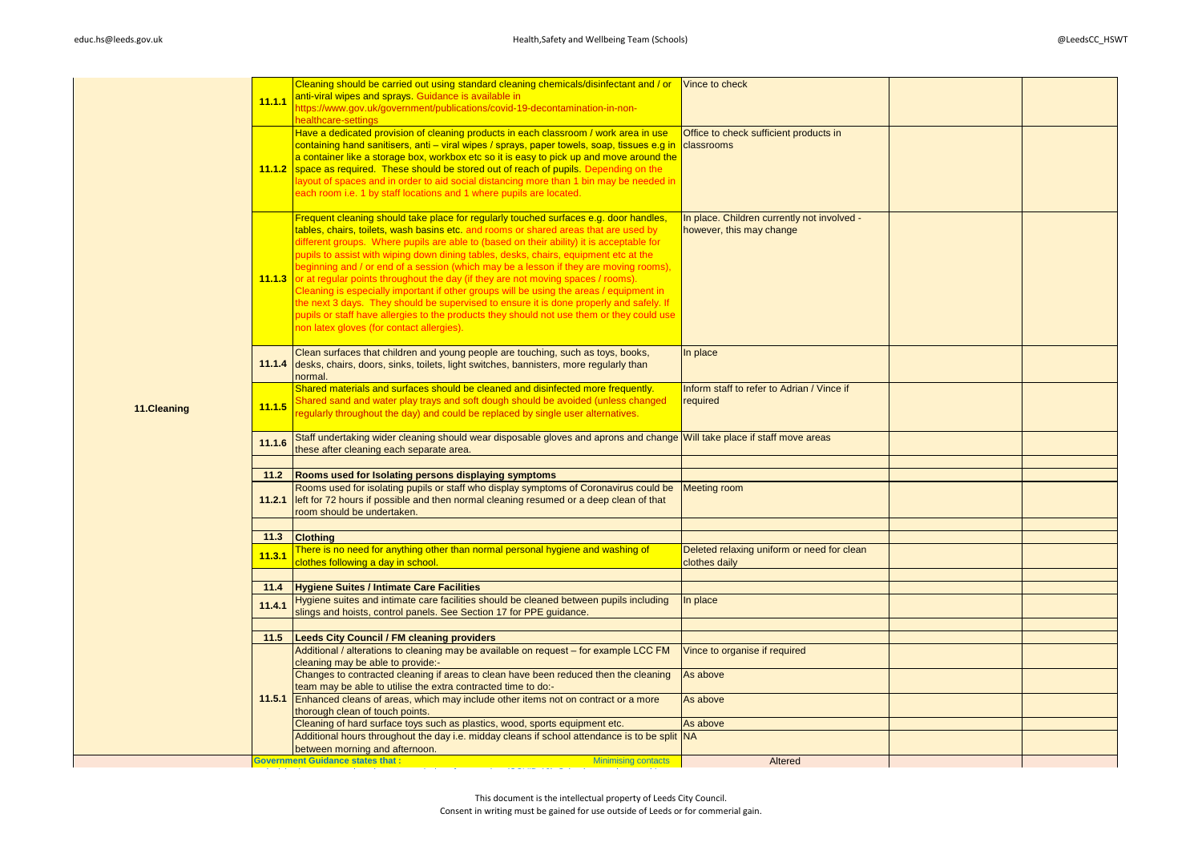|             | 11.1.1         | Cleaning should be carried out using standard cleaning chemicals/disinfectant and / or Vince to check<br>anti-viral wipes and sprays. Guidance is available in<br>https://www.gov.uk/government/publications/covid-19-decontamination-in-non-<br>healthcare-settings                                                                                                                                                                                                                                                                                                                                                                                                                                                                                                                                                                                                           |                                                                         |  |
|-------------|----------------|--------------------------------------------------------------------------------------------------------------------------------------------------------------------------------------------------------------------------------------------------------------------------------------------------------------------------------------------------------------------------------------------------------------------------------------------------------------------------------------------------------------------------------------------------------------------------------------------------------------------------------------------------------------------------------------------------------------------------------------------------------------------------------------------------------------------------------------------------------------------------------|-------------------------------------------------------------------------|--|
|             | 11.1.2         | Have a dedicated provision of cleaning products in each classroom / work area in use<br>containing hand sanitisers, anti – viral wipes / sprays, paper towels, soap, tissues e.g in classrooms<br>a container like a storage box, workbox etc so it is easy to pick up and move around the<br>space as required. These should be stored out of reach of pupils. Depending on the<br>layout of spaces and in order to aid social distancing more than 1 bin may be needed in<br>each room i.e. 1 by staff locations and 1 where pupils are located.                                                                                                                                                                                                                                                                                                                             | Office to check sufficient products in                                  |  |
|             | 11.1.3         | Frequent cleaning should take place for regularly touched surfaces e.g. door handles,<br>tables, chairs, toilets, wash basins etc. and rooms or shared areas that are used by<br>different groups. Where pupils are able to (based on their ability) it is acceptable for<br>pupils to assist with wiping down dining tables, desks, chairs, equipment etc at the<br>beginning and / or end of a session (which may be a lesson if they are moving rooms),<br>or at regular points throughout the day (if they are not moving spaces / rooms).<br>Cleaning is especially important if other groups will be using the areas / equipment in<br>the next 3 days. They should be supervised to ensure it is done properly and safely. If<br>pupils or staff have allergies to the products they should not use them or they could use<br>non latex gloves (for contact allergies). | In place. Children currently not involved -<br>however, this may change |  |
|             |                | Clean surfaces that children and young people are touching, such as toys, books,<br>11.1.4 desks, chairs, doors, sinks, toilets, light switches, bannisters, more regularly than<br>normal.                                                                                                                                                                                                                                                                                                                                                                                                                                                                                                                                                                                                                                                                                    | In place                                                                |  |
| 11.Cleaning | 11.1.5         | Shared materials and surfaces should be cleaned and disinfected more frequently.<br>Shared sand and water play trays and soft dough should be avoided (unless changed<br>regularly throughout the day) and could be replaced by single user alternatives.                                                                                                                                                                                                                                                                                                                                                                                                                                                                                                                                                                                                                      | Inform staff to refer to Adrian / Vince if<br>required                  |  |
|             | 11.1.6         | Staff undertaking wider cleaning should wear disposable gloves and aprons and change Will take place if staff move areas<br>these after cleaning each separate area.                                                                                                                                                                                                                                                                                                                                                                                                                                                                                                                                                                                                                                                                                                           |                                                                         |  |
|             |                |                                                                                                                                                                                                                                                                                                                                                                                                                                                                                                                                                                                                                                                                                                                                                                                                                                                                                |                                                                         |  |
|             | 11.2<br>11.2.1 | Rooms used for Isolating persons displaying symptoms<br>Rooms used for isolating pupils or staff who display symptoms of Coronavirus could be<br>left for 72 hours if possible and then normal cleaning resumed or a deep clean of that<br>room should be undertaken.                                                                                                                                                                                                                                                                                                                                                                                                                                                                                                                                                                                                          | <b>Meeting room</b>                                                     |  |
|             |                |                                                                                                                                                                                                                                                                                                                                                                                                                                                                                                                                                                                                                                                                                                                                                                                                                                                                                |                                                                         |  |
|             | 11.3           | <b>Clothing</b>                                                                                                                                                                                                                                                                                                                                                                                                                                                                                                                                                                                                                                                                                                                                                                                                                                                                |                                                                         |  |
|             | 11.3.1         | There is no need for anything other than normal personal hygiene and washing of<br>clothes following a day in school.                                                                                                                                                                                                                                                                                                                                                                                                                                                                                                                                                                                                                                                                                                                                                          | Deleted relaxing uniform or need for clean<br>clothes daily             |  |
|             | 11.4           | Hygiene Suites / Intimate Care Facilities                                                                                                                                                                                                                                                                                                                                                                                                                                                                                                                                                                                                                                                                                                                                                                                                                                      |                                                                         |  |
|             | 11.4.1         | Hygiene suites and intimate care facilities should be cleaned between pupils including<br>slings and hoists, control panels. See Section 17 for PPE guidance.                                                                                                                                                                                                                                                                                                                                                                                                                                                                                                                                                                                                                                                                                                                  | In place                                                                |  |
|             |                |                                                                                                                                                                                                                                                                                                                                                                                                                                                                                                                                                                                                                                                                                                                                                                                                                                                                                |                                                                         |  |
|             | 11.5           | <b>Leeds City Council / FM cleaning providers</b>                                                                                                                                                                                                                                                                                                                                                                                                                                                                                                                                                                                                                                                                                                                                                                                                                              |                                                                         |  |
|             |                | Additional / alterations to cleaning may be available on request – for example LCC FM<br>cleaning may be able to provide:-                                                                                                                                                                                                                                                                                                                                                                                                                                                                                                                                                                                                                                                                                                                                                     | Vince to organise if required                                           |  |
|             |                | Changes to contracted cleaning if areas to clean have been reduced then the cleaning<br>team may be able to utilise the extra contracted time to do:-                                                                                                                                                                                                                                                                                                                                                                                                                                                                                                                                                                                                                                                                                                                          | As above                                                                |  |
|             |                | 11.5.1 Enhanced cleans of areas, which may include other items not on contract or a more<br>thorough clean of touch points.                                                                                                                                                                                                                                                                                                                                                                                                                                                                                                                                                                                                                                                                                                                                                    | As above                                                                |  |
|             |                | Cleaning of hard surface toys such as plastics, wood, sports equipment etc.                                                                                                                                                                                                                                                                                                                                                                                                                                                                                                                                                                                                                                                                                                                                                                                                    | As above                                                                |  |
|             |                | Additional hours throughout the day i.e. midday cleans if school attendance is to be split NA<br>between morning and afternoon.                                                                                                                                                                                                                                                                                                                                                                                                                                                                                                                                                                                                                                                                                                                                                |                                                                         |  |
|             |                | <b>Government Guidance states that:</b><br><b>Minimising contacts</b>                                                                                                                                                                                                                                                                                                                                                                                                                                                                                                                                                                                                                                                                                                                                                                                                          | Altered                                                                 |  |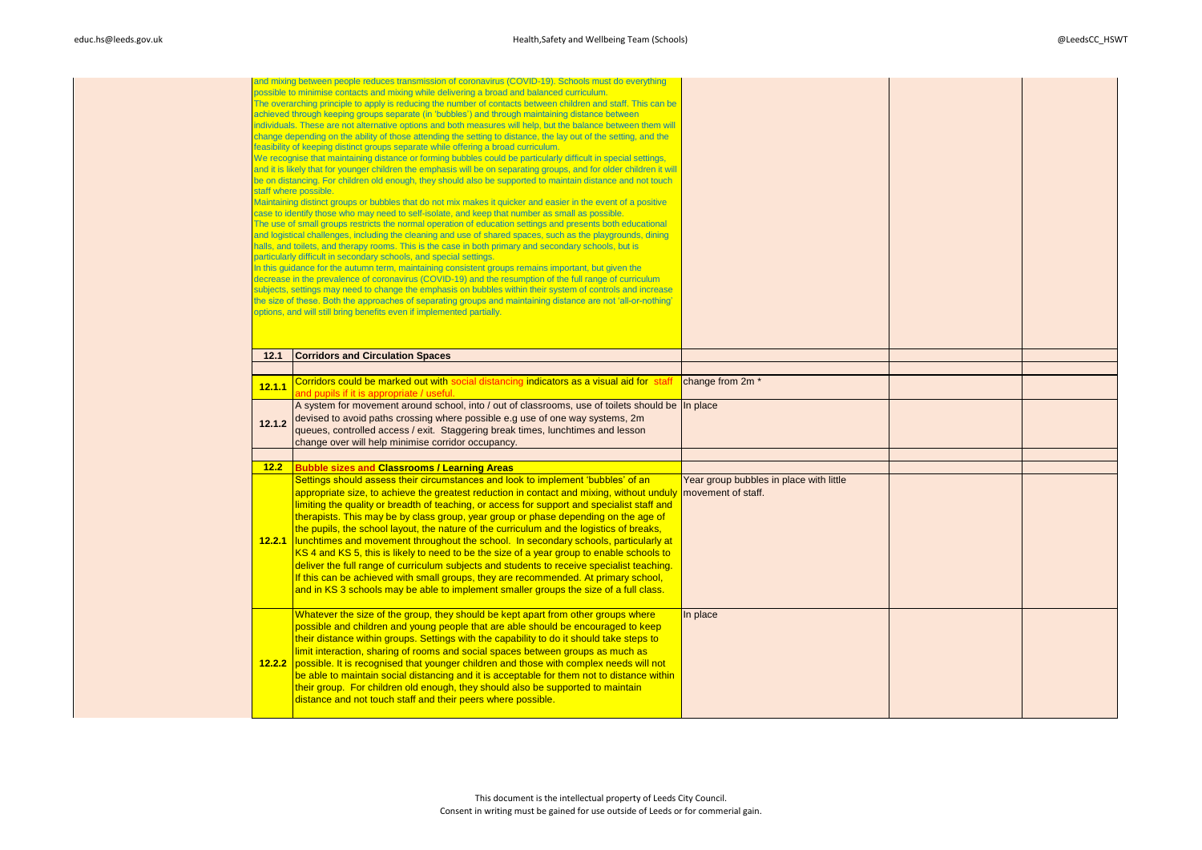|        | and mixing between people reduces transmission of coronavirus (COVID-19). Schools must do everything<br>possible to minimise contacts and mixing while delivering a broad and balanced curriculum.<br>The overarching principle to apply is reducing the number of contacts between children and staff. This can be<br>achieved through keeping groups separate (in 'bubbles') and through maintaining distance between<br>individuals. These are not alternative options and both measures will help, but the balance between them will<br>change depending on the ability of those attending the setting to distance, the lay out of the setting, and the<br>feasibility of keeping distinct groups separate while offering a broad curriculum.<br>We recognise that maintaining distance or forming bubbles could be particularly difficult in special settings,<br>and it is likely that for younger children the emphasis will be on separating groups, and for older children it will<br>be on distancing. For children old enough, they should also be supported to maintain distance and not touch<br>staff where possible.<br>Maintaining distinct groups or bubbles that do not mix makes it quicker and easier in the event of a positive<br>case to identify those who may need to self-isolate, and keep that number as small as possible.<br>The use of small groups restricts the normal operation of education settings and presents both educational<br>and logistical challenges, including the cleaning and use of shared spaces, such as the playgrounds, dining<br>halls, and toilets, and therapy rooms. This is the case in both primary and secondary schools, but is<br>particularly difficult in secondary schools, and special settings.<br>In this quidance for the autumn term, maintaining consistent groups remains important, but given the<br>decrease in the prevalence of coronavirus (COVID-19) and the resumption of the full range of curriculum<br>subjects, settings may need to change the emphasis on bubbles within their system of controls and increase<br>the size of these. Both the approaches of separating groups and maintaining distance are not 'all-or-nothing'<br>options, and will still bring benefits even if implemented partially. |                                         |  |
|--------|------------------------------------------------------------------------------------------------------------------------------------------------------------------------------------------------------------------------------------------------------------------------------------------------------------------------------------------------------------------------------------------------------------------------------------------------------------------------------------------------------------------------------------------------------------------------------------------------------------------------------------------------------------------------------------------------------------------------------------------------------------------------------------------------------------------------------------------------------------------------------------------------------------------------------------------------------------------------------------------------------------------------------------------------------------------------------------------------------------------------------------------------------------------------------------------------------------------------------------------------------------------------------------------------------------------------------------------------------------------------------------------------------------------------------------------------------------------------------------------------------------------------------------------------------------------------------------------------------------------------------------------------------------------------------------------------------------------------------------------------------------------------------------------------------------------------------------------------------------------------------------------------------------------------------------------------------------------------------------------------------------------------------------------------------------------------------------------------------------------------------------------------------------------------------------------------------------------------------------------------------------------------------------------------|-----------------------------------------|--|
| 12.1   | <b>Corridors and Circulation Spaces</b>                                                                                                                                                                                                                                                                                                                                                                                                                                                                                                                                                                                                                                                                                                                                                                                                                                                                                                                                                                                                                                                                                                                                                                                                                                                                                                                                                                                                                                                                                                                                                                                                                                                                                                                                                                                                                                                                                                                                                                                                                                                                                                                                                                                                                                                        |                                         |  |
|        |                                                                                                                                                                                                                                                                                                                                                                                                                                                                                                                                                                                                                                                                                                                                                                                                                                                                                                                                                                                                                                                                                                                                                                                                                                                                                                                                                                                                                                                                                                                                                                                                                                                                                                                                                                                                                                                                                                                                                                                                                                                                                                                                                                                                                                                                                                |                                         |  |
| 12.1.1 | Corridors could be marked out with social distancing indicators as a visual aid for staf<br>and pupils if it is appropriate / useful.                                                                                                                                                                                                                                                                                                                                                                                                                                                                                                                                                                                                                                                                                                                                                                                                                                                                                                                                                                                                                                                                                                                                                                                                                                                                                                                                                                                                                                                                                                                                                                                                                                                                                                                                                                                                                                                                                                                                                                                                                                                                                                                                                          | change from 2m <sup>*</sup>             |  |
| 12.1.2 | A system for movement around school, into / out of classrooms, use of toilets should be In place<br>devised to avoid paths crossing where possible e.g use of one way systems, 2m<br>queues, controlled access / exit. Staggering break times, lunchtimes and lesson<br>change over will help minimise corridor occupancy.                                                                                                                                                                                                                                                                                                                                                                                                                                                                                                                                                                                                                                                                                                                                                                                                                                                                                                                                                                                                                                                                                                                                                                                                                                                                                                                                                                                                                                                                                                                                                                                                                                                                                                                                                                                                                                                                                                                                                                     |                                         |  |
|        |                                                                                                                                                                                                                                                                                                                                                                                                                                                                                                                                                                                                                                                                                                                                                                                                                                                                                                                                                                                                                                                                                                                                                                                                                                                                                                                                                                                                                                                                                                                                                                                                                                                                                                                                                                                                                                                                                                                                                                                                                                                                                                                                                                                                                                                                                                |                                         |  |
| 12.2   | <b>Bubble sizes and Classrooms / Learning Areas</b><br>Settings should assess their circumstances and look to implement 'bubbles' of an<br>appropriate size, to achieve the greatest reduction in contact and mixing, without unduly movement of staff.<br>limiting the quality or breadth of teaching, or access for support and specialist staff and<br>therapists. This may be by class group, year group or phase depending on the age of<br>the pupils, the school layout, the nature of the curriculum and the logistics of breaks,<br>12.2.1 lunchtimes and movement throughout the school. In secondary schools, particularly at<br>KS 4 and KS 5, this is likely to need to be the size of a year group to enable schools to<br>deliver the full range of curriculum subjects and students to receive specialist teaching.<br>If this can be achieved with small groups, they are recommended. At primary school,<br>and in KS 3 schools may be able to implement smaller groups the size of a full class.                                                                                                                                                                                                                                                                                                                                                                                                                                                                                                                                                                                                                                                                                                                                                                                                                                                                                                                                                                                                                                                                                                                                                                                                                                                                            | Year group bubbles in place with little |  |
|        | Whatever the size of the group, they should be kept apart from other groups where<br>possible and children and young people that are able should be encouraged to keep<br>their distance within groups. Settings with the capability to do it should take steps to<br>limit interaction, sharing of rooms and social spaces between groups as much as<br>12.2.2 possible. It is recognised that younger children and those with complex needs will not<br>be able to maintain social distancing and it is acceptable for them not to distance within<br>their group. For children old enough, they should also be supported to maintain<br>distance and not touch staff and their peers where possible.                                                                                                                                                                                                                                                                                                                                                                                                                                                                                                                                                                                                                                                                                                                                                                                                                                                                                                                                                                                                                                                                                                                                                                                                                                                                                                                                                                                                                                                                                                                                                                                        | In place                                |  |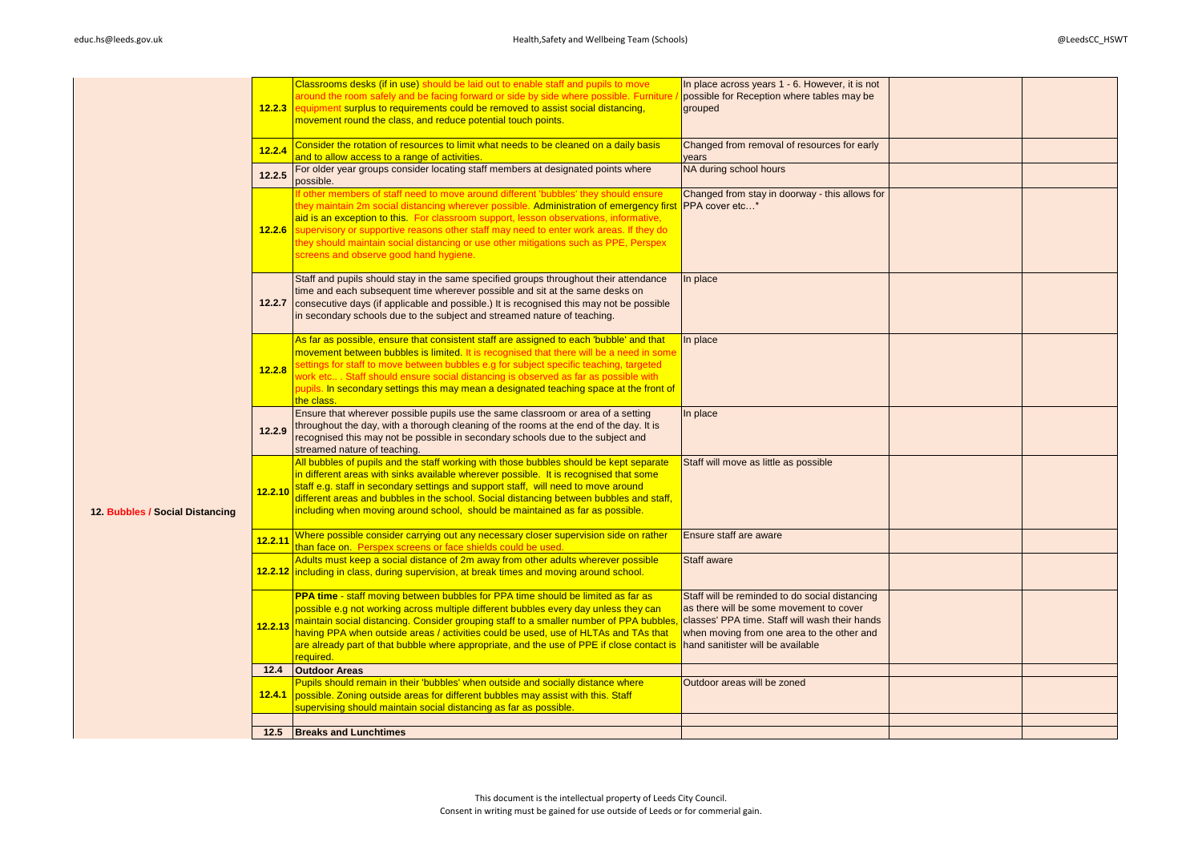|                                 |         | Classrooms desks (if in use) should be laid out to enable staff and pupils to move                                                                                   | In place across years 1 - 6. However, it is not |  |
|---------------------------------|---------|----------------------------------------------------------------------------------------------------------------------------------------------------------------------|-------------------------------------------------|--|
|                                 |         | around the room safely and be facing forward or side by side where possible. Furniture                                                                               | possible for Reception where tables may be      |  |
|                                 | 12.2.3  | equipment surplus to requirements could be removed to assist social distancing,                                                                                      | grouped                                         |  |
|                                 |         | movement round the class, and reduce potential touch points.                                                                                                         |                                                 |  |
|                                 |         |                                                                                                                                                                      |                                                 |  |
|                                 |         | Consider the rotation of resources to limit what needs to be cleaned on a daily basis                                                                                | Changed from removal of resources for early     |  |
|                                 | 12.2.4  | and to allow access to a range of activities.                                                                                                                        | vears                                           |  |
|                                 |         | For older year groups consider locating staff members at designated points where                                                                                     | NA during school hours                          |  |
|                                 | 12.2.5  | possible.                                                                                                                                                            |                                                 |  |
|                                 |         | If other members of staff need to move around different 'bubbles' they should ensure                                                                                 | Changed from stay in doorway - this allows for  |  |
|                                 |         | they maintain 2m social distancing wherever possible. Administration of emergency first                                                                              | PPA cover etc*                                  |  |
|                                 |         | aid is an exception to this. For classroom support, lesson observations, informative,                                                                                |                                                 |  |
|                                 |         | 12.2.6 supervisory or supportive reasons other staff may need to enter work areas. If they do                                                                        |                                                 |  |
|                                 |         | they should maintain social distancing or use other mitigations such as PPE, Perspex                                                                                 |                                                 |  |
|                                 |         | screens and observe good hand hygiene.                                                                                                                               |                                                 |  |
|                                 |         |                                                                                                                                                                      |                                                 |  |
|                                 |         | Staff and pupils should stay in the same specified groups throughout their attendance                                                                                | In place                                        |  |
|                                 |         | time and each subsequent time wherever possible and sit at the same desks on                                                                                         |                                                 |  |
|                                 | 12.2.7  | consecutive days (if applicable and possible.) It is recognised this may not be possible<br>in secondary schools due to the subject and streamed nature of teaching. |                                                 |  |
|                                 |         |                                                                                                                                                                      |                                                 |  |
|                                 |         | As far as possible, ensure that consistent staff are assigned to each 'bubble' and that                                                                              | In place                                        |  |
|                                 |         | movement between bubbles is limited. It is recognised that there will be a need in some                                                                              |                                                 |  |
|                                 |         | settings for staff to move between bubbles e.g for subject specific teaching, targeted                                                                               |                                                 |  |
|                                 | 12.2.8  | work etc Staff should ensure social distancing is observed as far as possible with                                                                                   |                                                 |  |
|                                 |         | pupils. In secondary settings this may mean a designated teaching space at the front of                                                                              |                                                 |  |
|                                 |         | the class.                                                                                                                                                           |                                                 |  |
|                                 |         | Ensure that wherever possible pupils use the same classroom or area of a setting                                                                                     | In place                                        |  |
|                                 | 12.2.9  | throughout the day, with a thorough cleaning of the rooms at the end of the day. It is                                                                               |                                                 |  |
|                                 |         | recognised this may not be possible in secondary schools due to the subject and                                                                                      |                                                 |  |
|                                 |         | streamed nature of teaching.<br>All bubbles of pupils and the staff working with those bubbles should be kept separate                                               | Staff will move as little as possible           |  |
|                                 |         | in different areas with sinks available wherever possible. It is recognised that some                                                                                |                                                 |  |
|                                 |         | staff e.g. staff in secondary settings and support staff, will need to move around                                                                                   |                                                 |  |
|                                 | 12.2.10 | different areas and bubbles in the school. Social distancing between bubbles and staff,                                                                              |                                                 |  |
| 12. Bubbles / Social Distancing |         | including when moving around school, should be maintained as far as possible.                                                                                        |                                                 |  |
|                                 |         |                                                                                                                                                                      |                                                 |  |
|                                 | 12.2.11 | Where possible consider carrying out any necessary closer supervision side on rather                                                                                 | Ensure staff are aware                          |  |
|                                 |         | than face on. Perspex screens or face shields could be used.                                                                                                         |                                                 |  |
|                                 |         | Adults must keep a social distance of 2m away from other adults wherever possible                                                                                    | Staff aware                                     |  |
|                                 |         | 12.2.12 including in class, during supervision, at break times and moving around school.                                                                             |                                                 |  |
|                                 |         | PPA time - staff moving between bubbles for PPA time should be limited as far as                                                                                     | Staff will be reminded to do social distancing  |  |
|                                 |         | possible e.g not working across multiple different bubbles every day unless they can                                                                                 | as there will be some movement to cover         |  |
|                                 |         | 12.2.13 maintain social distancing. Consider grouping staff to a smaller number of PPA bubbles,                                                                      | classes' PPA time. Staff will wash their hands  |  |
|                                 |         | having PPA when outside areas / activities could be used, use of HLTAs and TAs that                                                                                  | when moving from one area to the other and      |  |
|                                 |         | are already part of that bubble where appropriate, and the use of PPE if close contact is                                                                            | hand sanitister will be available               |  |
|                                 |         | required.                                                                                                                                                            |                                                 |  |
|                                 | 12.4    | <b>Outdoor Areas</b>                                                                                                                                                 |                                                 |  |
|                                 |         | Pupils should remain in their 'bubbles' when outside and socially distance where                                                                                     | Outdoor areas will be zoned                     |  |
|                                 | 12.4.1  | possible. Zoning outside areas for different bubbles may assist with this. Staff                                                                                     |                                                 |  |
|                                 |         | supervising should maintain social distancing as far as possible.                                                                                                    |                                                 |  |
|                                 |         |                                                                                                                                                                      |                                                 |  |
|                                 |         | 12.5 Breaks and Lunchtimes                                                                                                                                           |                                                 |  |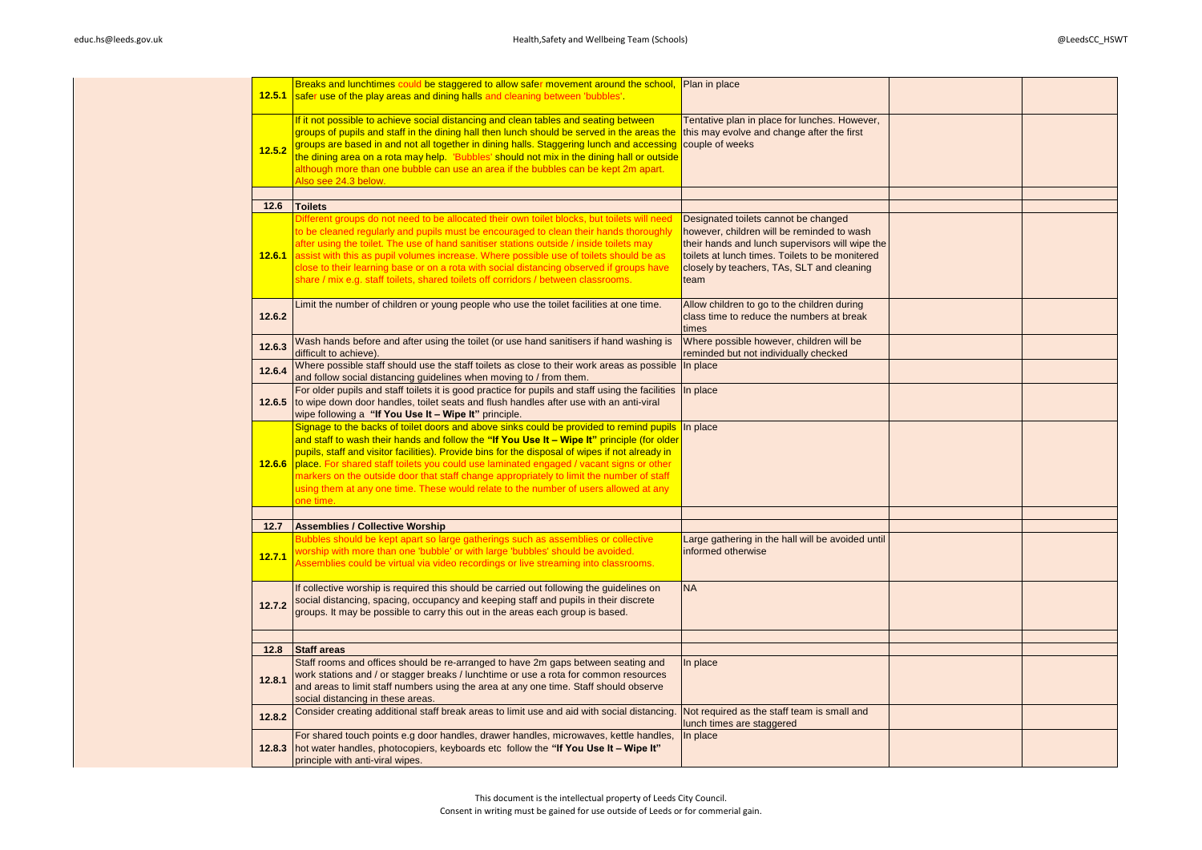| 12.5.1         | Breaks and lunchtimes could be staggered to allow safer movement around the school, Plan in place<br>safer use of the play areas and dining halls and cleaning between 'bubbles'.                                                                                                                                                                                                                                                                                                                                                                                                     |                                                                                                                                                                                                                                                |  |
|----------------|---------------------------------------------------------------------------------------------------------------------------------------------------------------------------------------------------------------------------------------------------------------------------------------------------------------------------------------------------------------------------------------------------------------------------------------------------------------------------------------------------------------------------------------------------------------------------------------|------------------------------------------------------------------------------------------------------------------------------------------------------------------------------------------------------------------------------------------------|--|
| 12.5.2         | If it not possible to achieve social distancing and clean tables and seating between<br>groups of pupils and staff in the dining hall then lunch should be served in the areas the<br>groups are based in and not all together in dining halls. Staggering lunch and accessing<br>the dining area on a rota may help. YBubbles' should not mix in the dining hall or outside<br>although more than one bubble can use an area if the bubbles can be kept 2m apart.<br>Also see 24.3 below.                                                                                            | Tentative plan in place for lunches. However,<br>this may evolve and change after the first<br>couple of weeks                                                                                                                                 |  |
| 12.6           | <b>Toilets</b>                                                                                                                                                                                                                                                                                                                                                                                                                                                                                                                                                                        |                                                                                                                                                                                                                                                |  |
| 12.6.1         | Different groups do not need to be allocated their own toilet blocks, but toilets will need<br>to be cleaned regularly and pupils must be encouraged to clean their hands thoroughly<br>after using the toilet. The use of hand sanitiser stations outside / inside toilets may<br>assist with this as pupil volumes increase. Where possible use of toilets should be as<br>close to their learning base or on a rota with social distancing observed if groups have<br>share / mix e.g. staff toilets, shared toilets off corridors / between classrooms.                           | Designated toilets cannot be changed<br>however, children will be reminded to wash<br>their hands and lunch supervisors will wipe the<br>toilets at lunch times. Toilets to be monitered<br>closely by teachers, TAs, SLT and cleaning<br>team |  |
| 12.6.2         | Limit the number of children or young people who use the toilet facilities at one time.                                                                                                                                                                                                                                                                                                                                                                                                                                                                                               | Allow children to go to the children during<br>class time to reduce the numbers at break<br>times                                                                                                                                              |  |
| 12.6.3         | Wash hands before and after using the toilet (or use hand sanitisers if hand washing is<br>difficult to achieve).                                                                                                                                                                                                                                                                                                                                                                                                                                                                     | Where possible however, children will be<br>reminded but not individually checked                                                                                                                                                              |  |
| 12.6.4         | Where possible staff should use the staff toilets as close to their work areas as possible<br>and follow social distancing guidelines when moving to / from them.                                                                                                                                                                                                                                                                                                                                                                                                                     | In place                                                                                                                                                                                                                                       |  |
| 12.6.5         | For older pupils and staff toilets it is good practice for pupils and staff using the facilities In place<br>to wipe down door handles, toilet seats and flush handles after use with an anti-viral<br>wipe following a "If You Use It - Wipe It" principle.                                                                                                                                                                                                                                                                                                                          |                                                                                                                                                                                                                                                |  |
| 12.6.6         | Signage to the backs of toilet doors and above sinks could be provided to remind pupils<br>and staff to wash their hands and follow the "If You Use It - Wipe It" principle (for older<br>pupils, staff and visitor facilities). Provide bins for the disposal of wipes if not already in<br>place. For shared staff toilets you could use laminated engaged / vacant signs or other<br>markers on the outside door that staff change appropriately to limit the number of staff<br>using them at any one time. These would relate to the number of users allowed at any<br>one time. | In place                                                                                                                                                                                                                                       |  |
|                |                                                                                                                                                                                                                                                                                                                                                                                                                                                                                                                                                                                       |                                                                                                                                                                                                                                                |  |
| 12.7<br>12.7.1 | <b>Assemblies / Collective Worship</b><br>Bubbles should be kept apart so large gatherings such as assemblies or collective<br>worship with more than one 'bubble' or with large 'bubbles' should be avoided.<br>Assemblies could be virtual via video recordings or live streaming into classrooms.                                                                                                                                                                                                                                                                                  | Large gathering in the hall will be avoided until<br>informed otherwise                                                                                                                                                                        |  |
| 12.7.2         | If collective worship is required this should be carried out following the guidelines on<br>social distancing, spacing, occupancy and keeping staff and pupils in their discrete<br>groups. It may be possible to carry this out in the areas each group is based.                                                                                                                                                                                                                                                                                                                    | <b>NA</b>                                                                                                                                                                                                                                      |  |
| 12.8           | <b>Staff areas</b>                                                                                                                                                                                                                                                                                                                                                                                                                                                                                                                                                                    |                                                                                                                                                                                                                                                |  |
| 12.8.1         | Staff rooms and offices should be re-arranged to have 2m gaps between seating and<br>work stations and / or stagger breaks / lunchtime or use a rota for common resources<br>and areas to limit staff numbers using the area at any one time. Staff should observe<br>social distancing in these areas.                                                                                                                                                                                                                                                                               | In place                                                                                                                                                                                                                                       |  |
| 12.8.2         | Consider creating additional staff break areas to limit use and aid with social distancing.                                                                                                                                                                                                                                                                                                                                                                                                                                                                                           | Not required as the staff team is small and<br>lunch times are staggered                                                                                                                                                                       |  |
| 12.8.3         | For shared touch points e.g door handles, drawer handles, microwaves, kettle handles,<br>hot water handles, photocopiers, keyboards etc follow the "If You Use It - Wipe It"<br>principle with anti-viral wipes.                                                                                                                                                                                                                                                                                                                                                                      | In place                                                                                                                                                                                                                                       |  |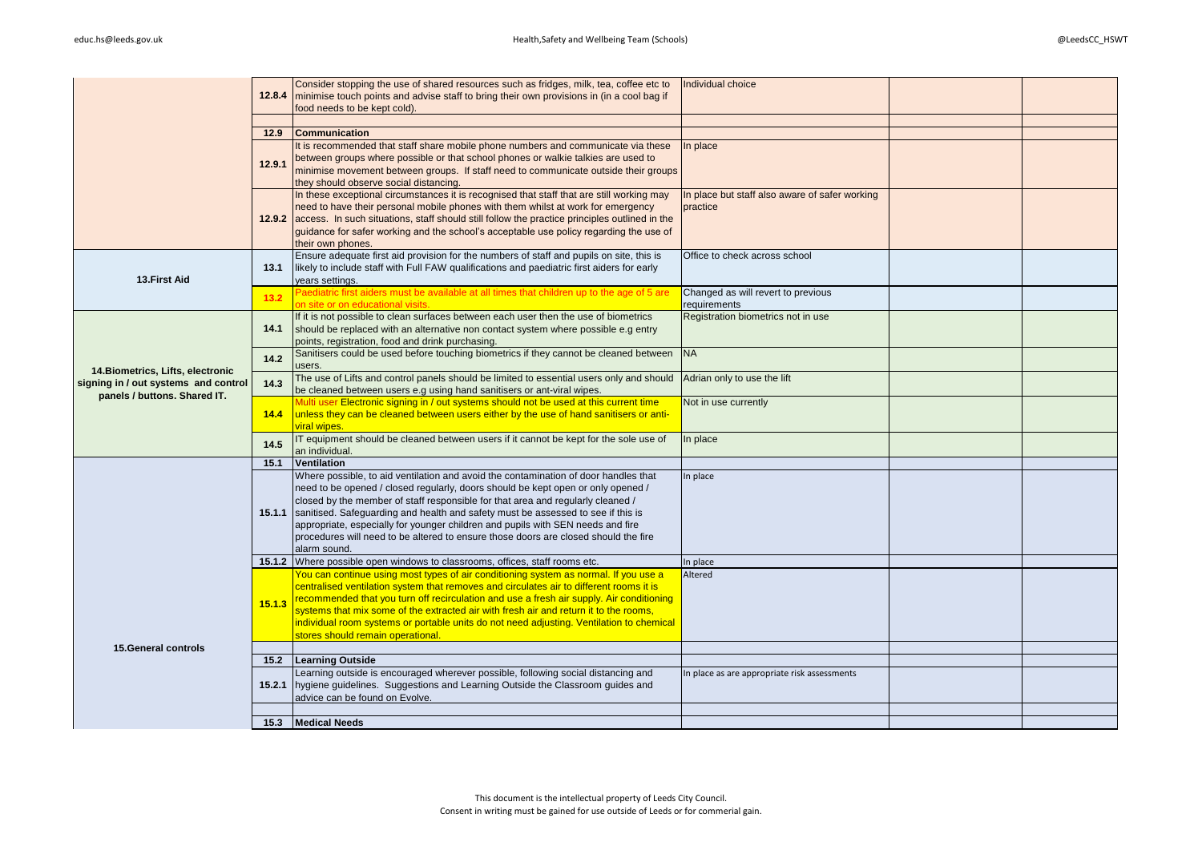|                                      |        | Consider stopping the use of shared resources such as fridges, milk, tea, coffee etc to                                                                                       | Individual choice                                         |  |
|--------------------------------------|--------|-------------------------------------------------------------------------------------------------------------------------------------------------------------------------------|-----------------------------------------------------------|--|
|                                      | 12.8.4 | minimise touch points and advise staff to bring their own provisions in (in a cool bag if                                                                                     |                                                           |  |
|                                      |        | food needs to be kept cold).                                                                                                                                                  |                                                           |  |
|                                      |        |                                                                                                                                                                               |                                                           |  |
|                                      | 12.9   | <b>Communication</b>                                                                                                                                                          |                                                           |  |
|                                      |        | It is recommended that staff share mobile phone numbers and communicate via these                                                                                             | In place                                                  |  |
|                                      | 12.9.1 | between groups where possible or that school phones or walkie talkies are used to                                                                                             |                                                           |  |
|                                      |        | minimise movement between groups. If staff need to communicate outside their groups                                                                                           |                                                           |  |
|                                      |        | they should observe social distancing.                                                                                                                                        |                                                           |  |
|                                      |        | In these exceptional circumstances it is recognised that staff that are still working may<br>need to have their personal mobile phones with them whilst at work for emergency | n place but staff also aware of safer working<br>practice |  |
|                                      |        | 12.9.2 access. In such situations, staff should still follow the practice principles outlined in the                                                                          |                                                           |  |
|                                      |        | quidance for safer working and the school's acceptable use policy regarding the use of                                                                                        |                                                           |  |
|                                      |        | their own phones.                                                                                                                                                             |                                                           |  |
|                                      |        | Ensure adequate first aid provision for the numbers of staff and pupils on site, this is                                                                                      | Office to check across school                             |  |
|                                      | 13.1   | likely to include staff with Full FAW qualifications and paediatric first aiders for early                                                                                    |                                                           |  |
| 13.First Aid                         |        | years settings.                                                                                                                                                               |                                                           |  |
|                                      | 13.2   | Paediatric first aiders must be available at all times that children up to the age of 5 are                                                                                   | Changed as will revert to previous                        |  |
|                                      |        | on site or on educational visits.                                                                                                                                             | requirements                                              |  |
|                                      |        | If it is not possible to clean surfaces between each user then the use of biometrics                                                                                          | Registration biometrics not in use                        |  |
|                                      | 14.1   | should be replaced with an alternative non contact system where possible e.g entry                                                                                            |                                                           |  |
|                                      |        | points, registration, food and drink purchasing.                                                                                                                              |                                                           |  |
|                                      | 14.2   | Sanitisers could be used before touching biometrics if they cannot be cleaned between                                                                                         | <b>NA</b>                                                 |  |
| 14. Biometrics, Lifts, electronic    |        | users.<br>The use of Lifts and control panels should be limited to essential users only and should                                                                            |                                                           |  |
| signing in / out systems and control | 14.3   | be cleaned between users e.g using hand sanitisers or ant-viral wipes.                                                                                                        | Adrian only to use the lift                               |  |
| panels / buttons, Shared IT.         |        | Multi user Electronic signing in / out systems should not be used at this current time                                                                                        | Not in use currently                                      |  |
|                                      | 14.4   | unless they can be cleaned between users either by the use of hand sanitisers or anti-                                                                                        |                                                           |  |
|                                      |        | viral wipes.                                                                                                                                                                  |                                                           |  |
|                                      | 14.5   | IT equipment should be cleaned between users if it cannot be kept for the sole use of                                                                                         | In place                                                  |  |
|                                      |        | an individual.                                                                                                                                                                |                                                           |  |
|                                      | 15.1   | Ventilation                                                                                                                                                                   |                                                           |  |
|                                      |        | Where possible, to aid ventilation and avoid the contamination of door handles that                                                                                           | n place                                                   |  |
|                                      |        | need to be opened / closed regularly, doors should be kept open or only opened /                                                                                              |                                                           |  |
|                                      |        | closed by the member of staff responsible for that area and regularly cleaned /                                                                                               |                                                           |  |
|                                      | 15.1.1 | sanitised. Safeguarding and health and safety must be assessed to see if this is<br>appropriate, especially for younger children and pupils with SEN needs and fire           |                                                           |  |
|                                      |        | procedures will need to be altered to ensure those doors are closed should the fire                                                                                           |                                                           |  |
|                                      |        | alarm sound.                                                                                                                                                                  |                                                           |  |
|                                      |        | 15.1.2 Where possible open windows to classrooms, offices, staff rooms etc.                                                                                                   | In place                                                  |  |
|                                      |        | You can continue using most types of air conditioning system as normal. If you use a                                                                                          | Altered                                                   |  |
|                                      |        | centralised ventilation system that removes and circulates air to different rooms it is                                                                                       |                                                           |  |
|                                      | 15.1.3 | recommended that you turn off recirculation and use a fresh air supply. Air conditioning                                                                                      |                                                           |  |
|                                      |        | systems that mix some of the extracted air with fresh air and return it to the rooms,                                                                                         |                                                           |  |
|                                      |        | individual room systems or portable units do not need adjusting. Ventilation to chemical                                                                                      |                                                           |  |
|                                      |        | stores should remain operational.                                                                                                                                             |                                                           |  |
| <b>15.General controls</b>           |        |                                                                                                                                                                               |                                                           |  |
|                                      | 15.2   | <b>Learning Outside</b>                                                                                                                                                       |                                                           |  |
|                                      |        | Learning outside is encouraged wherever possible, following social distancing and                                                                                             | n place as are appropriate risk assessments               |  |
|                                      | 15.2.1 | hygiene guidelines. Suggestions and Learning Outside the Classroom guides and<br>advice can be found on Evolve.                                                               |                                                           |  |
|                                      |        |                                                                                                                                                                               |                                                           |  |
|                                      | 15.3   | <b>Medical Needs</b>                                                                                                                                                          |                                                           |  |
|                                      |        |                                                                                                                                                                               |                                                           |  |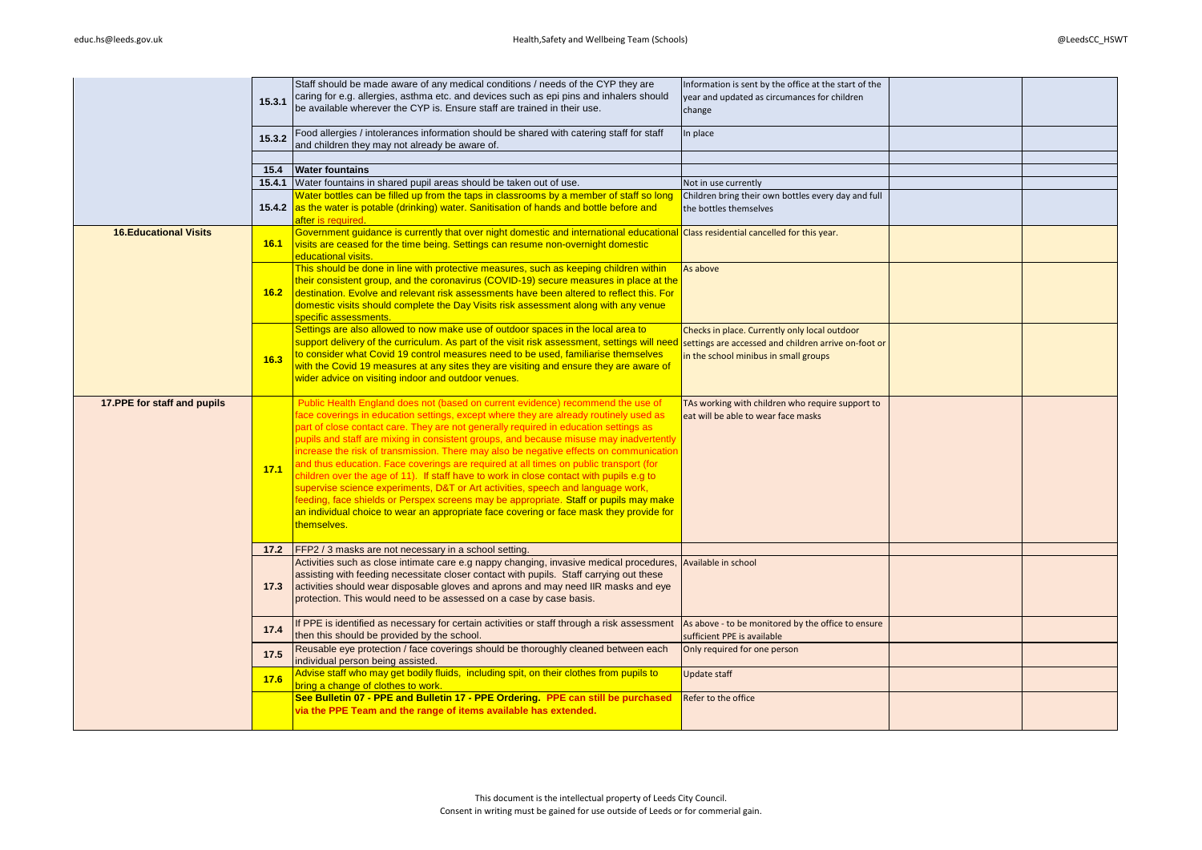|                              | 15.3.1         | Staff should be made aware of any medical conditions / needs of the CYP they are<br>caring for e.g. allergies, asthma etc. and devices such as epi pins and inhalers should<br>be available wherever the CYP is. Ensure staff are trained in their use.                                                                                                                                                                                                                                                                                                                                                                                                                                                                                                                                                                                                                                                                        | Information is sent by the office at the start of the<br>year and updated as circumances for children<br>change                                |  |
|------------------------------|----------------|--------------------------------------------------------------------------------------------------------------------------------------------------------------------------------------------------------------------------------------------------------------------------------------------------------------------------------------------------------------------------------------------------------------------------------------------------------------------------------------------------------------------------------------------------------------------------------------------------------------------------------------------------------------------------------------------------------------------------------------------------------------------------------------------------------------------------------------------------------------------------------------------------------------------------------|------------------------------------------------------------------------------------------------------------------------------------------------|--|
|                              | 15.3.2         | Food allergies / intolerances information should be shared with catering staff for staff<br>and children they may not already be aware of.                                                                                                                                                                                                                                                                                                                                                                                                                                                                                                                                                                                                                                                                                                                                                                                     | In place                                                                                                                                       |  |
|                              |                |                                                                                                                                                                                                                                                                                                                                                                                                                                                                                                                                                                                                                                                                                                                                                                                                                                                                                                                                |                                                                                                                                                |  |
|                              | 15.4<br>15.4.1 | <b>Water fountains</b><br>Water fountains in shared pupil areas should be taken out of use.                                                                                                                                                                                                                                                                                                                                                                                                                                                                                                                                                                                                                                                                                                                                                                                                                                    |                                                                                                                                                |  |
|                              |                | Water bottles can be filled up from the taps in classrooms by a member of staff so long                                                                                                                                                                                                                                                                                                                                                                                                                                                                                                                                                                                                                                                                                                                                                                                                                                        | Not in use currently                                                                                                                           |  |
|                              |                | 15.4.2 as the water is potable (drinking) water. Sanitisation of hands and bottle before and<br>after is required.                                                                                                                                                                                                                                                                                                                                                                                                                                                                                                                                                                                                                                                                                                                                                                                                             | Children bring their own bottles every day and full<br>the bottles themselves                                                                  |  |
| <b>16.Educational Visits</b> | 16.1           | Government guidance is currently that over night domestic and international educational Class residential cancelled for this year.<br>visits are ceased for the time being. Settings can resume non-overnight domestic<br>educational visits.                                                                                                                                                                                                                                                                                                                                                                                                                                                                                                                                                                                                                                                                                  |                                                                                                                                                |  |
|                              | 16.2           | This should be done in line with protective measures, such as keeping children within<br>their consistent group, and the coronavirus (COVID-19) secure measures in place at the<br>destination. Evolve and relevant risk assessments have been altered to reflect this. For<br>domestic visits should complete the Day Visits risk assessment along with any venue<br>specific assessments.                                                                                                                                                                                                                                                                                                                                                                                                                                                                                                                                    | As above                                                                                                                                       |  |
|                              | 16.3           | Settings are also allowed to now make use of outdoor spaces in the local area to<br>support delivery of the curriculum. As part of the visit risk assessment, settings will need<br>to consider what Covid 19 control measures need to be used, familiarise themselves<br>with the Covid 19 measures at any sites they are visiting and ensure they are aware of<br>wider advice on visiting indoor and outdoor venues.                                                                                                                                                                                                                                                                                                                                                                                                                                                                                                        | Checks in place. Currently only local outdoor<br>settings are accessed and children arrive on-foot or<br>in the school minibus in small groups |  |
| 17.PPE for staff and pupils  | 17.1           | Public Health England does not (based on current evidence) recommend the use of<br>face coverings in education settings, except where they are already routinely used as<br>part of close contact care. They are not generally required in education settings as<br>pupils and staff are mixing in consistent groups, and because misuse may inadvertently<br>increase the risk of transmission. There may also be negative effects on communication<br>and thus education. Face coverings are required at all times on public transport (for<br>children over the age of 11). If staff have to work in close contact with pupils e.g to<br>supervise science experiments, D&T or Art activities, speech and language work,<br>feeding, face shields or Perspex screens may be appropriate. Staff or pupils may make<br>an individual choice to wear an appropriate face covering or face mask they provide for<br>themselves. | TAs working with children who require support to<br>eat will be able to wear face masks                                                        |  |
|                              | 17.2           | <b>FFP2</b> / 3 masks are not necessary in a school setting.                                                                                                                                                                                                                                                                                                                                                                                                                                                                                                                                                                                                                                                                                                                                                                                                                                                                   |                                                                                                                                                |  |
|                              | 17.3           | Activities such as close intimate care e.g nappy changing, invasive medical procedures,<br>assisting with feeding necessitate closer contact with pupils. Staff carrying out these<br>activities should wear disposable gloves and aprons and may need IIR masks and eye<br>protection. This would need to be assessed on a case by case basis.                                                                                                                                                                                                                                                                                                                                                                                                                                                                                                                                                                                | Available in school                                                                                                                            |  |
|                              | 17.4           | If PPE is identified as necessary for certain activities or staff through a risk assessment<br>then this should be provided by the school.                                                                                                                                                                                                                                                                                                                                                                                                                                                                                                                                                                                                                                                                                                                                                                                     | As above - to be monitored by the office to ensure<br>sufficient PPE is available                                                              |  |
|                              | 17.5           | Reusable eye protection / face coverings should be thoroughly cleaned between each<br>individual person being assisted.                                                                                                                                                                                                                                                                                                                                                                                                                                                                                                                                                                                                                                                                                                                                                                                                        | Only required for one person                                                                                                                   |  |
|                              | 17.6           | Advise staff who may get bodily fluids, including spit, on their clothes from pupils to<br>bring a change of clothes to work.                                                                                                                                                                                                                                                                                                                                                                                                                                                                                                                                                                                                                                                                                                                                                                                                  | Update staff                                                                                                                                   |  |
|                              |                | See Bulletin 07 - PPE and Bulletin 17 - PPE Ordering. PPE can still be purchased<br>via the PPE Team and the range of items available has extended.                                                                                                                                                                                                                                                                                                                                                                                                                                                                                                                                                                                                                                                                                                                                                                            | Refer to the office                                                                                                                            |  |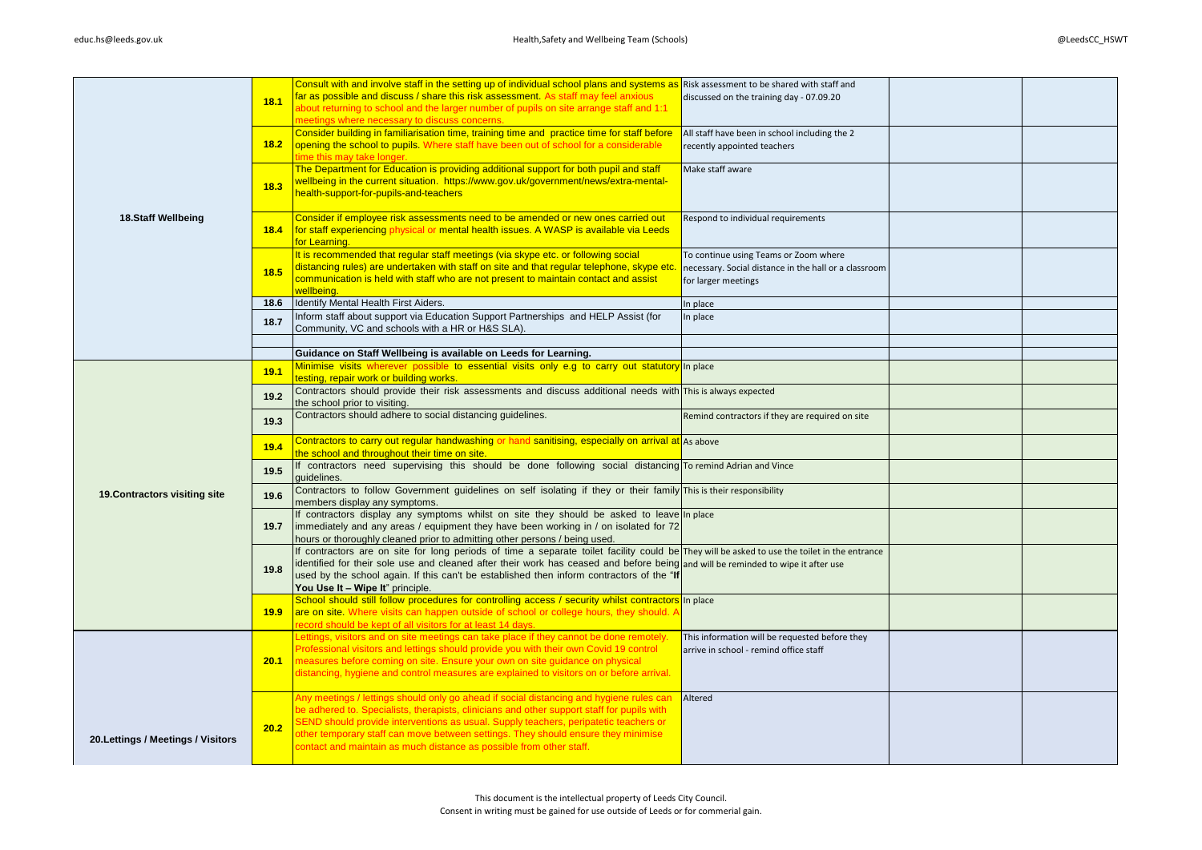|                                    |                   | Consult with and involve staff in the setting up of individual school plans and systems as                                                   | Risk assessment to be shared with staff and           |  |
|------------------------------------|-------------------|----------------------------------------------------------------------------------------------------------------------------------------------|-------------------------------------------------------|--|
|                                    | 18.1              | far as possible and discuss / share this risk assessment. As staff may feel anxious                                                          | discussed on the training day - 07.09.20              |  |
|                                    |                   | about returning to school and the larger number of pupils on site arrange staff and 1:1                                                      |                                                       |  |
|                                    |                   | meetings where necessary to discuss concerns.                                                                                                |                                                       |  |
|                                    |                   | Consider building in familiarisation time, training time and practice time for staff before                                                  | All staff have been in school including the 2         |  |
|                                    |                   |                                                                                                                                              |                                                       |  |
|                                    | 18.2              | opening the school to pupils. Where staff have been out of school for a considerable                                                         | recently appointed teachers                           |  |
|                                    |                   | time this may take longer.                                                                                                                   |                                                       |  |
|                                    |                   | The Department for Education is providing additional support for both pupil and staff                                                        | Make staff aware                                      |  |
|                                    |                   | wellbeing in the current situation. https://www.gov.uk/government/news/extra-mental-                                                         |                                                       |  |
|                                    | 18.3              | health-support-for-pupils-and-teachers                                                                                                       |                                                       |  |
|                                    |                   |                                                                                                                                              |                                                       |  |
|                                    |                   |                                                                                                                                              |                                                       |  |
| 18.Staff Wellbeing                 |                   | Consider if employee risk assessments need to be amended or new ones carried out                                                             | Respond to individual requirements                    |  |
|                                    | 18.4              | for staff experiencing physical or mental health issues. A WASP is available via Leeds                                                       |                                                       |  |
|                                    |                   | for Learning.                                                                                                                                |                                                       |  |
|                                    |                   | It is recommended that regular staff meetings (via skype etc. or following social                                                            | To continue using Teams or Zoom where                 |  |
|                                    |                   | distancing rules) are undertaken with staff on site and that regular telephone, skype etc.                                                   | necessary. Social distance in the hall or a classroom |  |
|                                    | 18.5              | communication is held with staff who are not present to maintain contact and assist                                                          |                                                       |  |
|                                    |                   |                                                                                                                                              | for larger meetings                                   |  |
|                                    |                   | wellbeing.                                                                                                                                   |                                                       |  |
|                                    | 18.6              | Identify Mental Health First Aiders.                                                                                                         | n place                                               |  |
|                                    | 18.7              | Inform staff about support via Education Support Partnerships and HELP Assist (for                                                           | In place                                              |  |
|                                    |                   | Community, VC and schools with a HR or H&S SLA).                                                                                             |                                                       |  |
|                                    |                   |                                                                                                                                              |                                                       |  |
|                                    |                   |                                                                                                                                              |                                                       |  |
|                                    |                   | Guidance on Staff Wellbeing is available on Leeds for Learning.                                                                              |                                                       |  |
|                                    | 19.1              | Minimise visits wherever possible to essential visits only e.g to carry out statutory in place                                               |                                                       |  |
|                                    |                   | testing, repair work or building works.                                                                                                      |                                                       |  |
|                                    | 19.2              | Contractors should provide their risk assessments and discuss additional needs with This is always expected                                  |                                                       |  |
|                                    |                   | the school prior to visiting.                                                                                                                |                                                       |  |
|                                    |                   | Contractors should adhere to social distancing guidelines.                                                                                   | Remind contractors if they are required on site       |  |
|                                    | 19.3              |                                                                                                                                              |                                                       |  |
|                                    |                   |                                                                                                                                              |                                                       |  |
|                                    | 19.4              | Contractors to carry out regular handwashing or hand sanitising, especially on arrival at As above                                           |                                                       |  |
|                                    |                   | the school and throughout their time on site.                                                                                                |                                                       |  |
|                                    | 19.5              | If contractors need supervising this should be done following social distancing To remind Adrian and Vince                                   |                                                       |  |
|                                    |                   | quidelines.                                                                                                                                  |                                                       |  |
|                                    |                   | Contractors to follow Government guidelines on self isolating if they or their family This is their responsibility                           |                                                       |  |
| 19. Contractors visiting site      | 19.6              | members display any symptoms.                                                                                                                |                                                       |  |
|                                    |                   |                                                                                                                                              |                                                       |  |
|                                    |                   | If contractors display any symptoms whilst on site they should be asked to leave                                                             | In place                                              |  |
|                                    | 19.7              | immediately and any areas / equipment they have been working in / on isolated for 72                                                         |                                                       |  |
|                                    |                   | hours or thoroughly cleaned prior to admitting other persons / being used.                                                                   |                                                       |  |
|                                    |                   | If contractors are on site for long periods of time a separate toilet facility could be They will be asked to use the toilet in the entrance |                                                       |  |
|                                    |                   | identified for their sole use and cleaned after their work has ceased and before being                                                       | and will be reminded to wipe it after use             |  |
|                                    | 19.8              | used by the school again. If this can't be established then inform contractors of the "If                                                    |                                                       |  |
|                                    |                   | You Use It - Wipe It" principle.                                                                                                             |                                                       |  |
|                                    |                   |                                                                                                                                              |                                                       |  |
|                                    |                   | School should still follow procedures for controlling access / security whilst contractors                                                   | In place                                              |  |
|                                    | 19.9 <sub>1</sub> | are on site. Where visits can happen outside of school or college hours, they should. A                                                      |                                                       |  |
|                                    |                   | record should be kept of all visitors for at least 14 days.                                                                                  |                                                       |  |
|                                    |                   | Lettings, visitors and on site meetings can take place if they cannot be done remotely.                                                      | This information will be requested before they        |  |
|                                    |                   | Professional visitors and lettings should provide you with their own Covid 19 control                                                        | arrive in school - remind office staff                |  |
|                                    | 20.1              | measures before coming on site. Ensure your own on site guidance on physical                                                                 |                                                       |  |
|                                    |                   | distancing, hygiene and control measures are explained to visitors on or before arrival.                                                     |                                                       |  |
|                                    |                   |                                                                                                                                              |                                                       |  |
|                                    |                   |                                                                                                                                              |                                                       |  |
|                                    |                   | Any meetings / lettings should only go ahead if social distancing and hygiene rules can                                                      | Altered                                               |  |
|                                    |                   | be adhered to. Specialists, therapists, clinicians and other support staff for pupils with                                                   |                                                       |  |
| 20. Lettings / Meetings / Visitors | 20.2              | SEND should provide interventions as usual. Supply teachers, peripatetic teachers or                                                         |                                                       |  |
|                                    |                   | other temporary staff can move between settings. They should ensure they minimise                                                            |                                                       |  |
|                                    |                   | contact and maintain as much distance as possible from other staff.                                                                          |                                                       |  |
|                                    |                   |                                                                                                                                              |                                                       |  |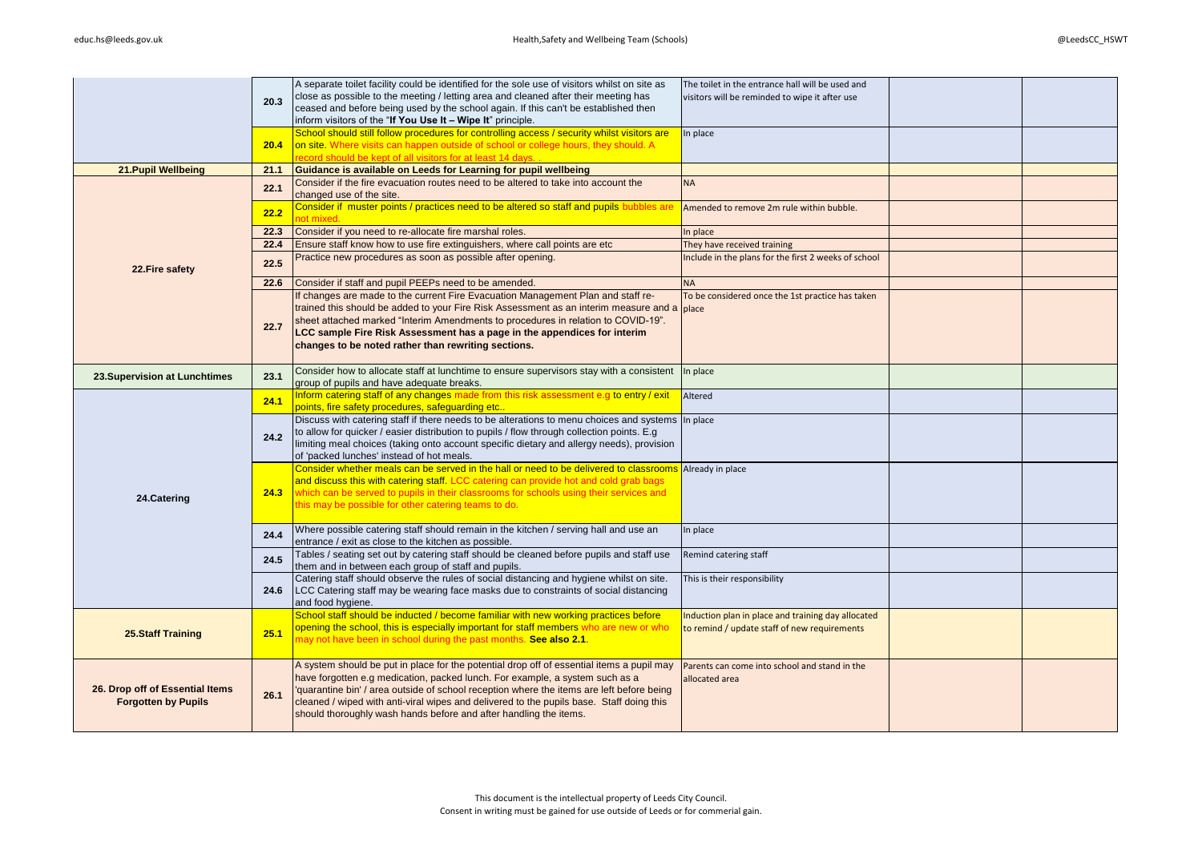|                                                               | 20.3 | A separate toilet facility could be identified for the sole use of visitors whilst on site as<br>close as possible to the meeting / letting area and cleaned after their meeting has<br>ceased and before being used by the school again. If this can't be established then<br>inform visitors of the "If You Use It - Wipe It" principle. | The toilet in the entrance hall will be used and<br>visitors will be reminded to wipe it after use |  |
|---------------------------------------------------------------|------|--------------------------------------------------------------------------------------------------------------------------------------------------------------------------------------------------------------------------------------------------------------------------------------------------------------------------------------------|----------------------------------------------------------------------------------------------------|--|
|                                                               | 20.4 | School should still follow procedures for controlling access / security whilst visitors are<br>on site. Where visits can happen outside of school or college hours, they should. A<br>record should be kept of all visitors for at least 14 days                                                                                           | In place                                                                                           |  |
| 21. Pupil Wellbeing                                           | 21.1 | Guidance is available on Leeds for Learning for pupil wellbeing                                                                                                                                                                                                                                                                            |                                                                                                    |  |
|                                                               | 22.1 | Consider if the fire evacuation routes need to be altered to take into account the<br>changed use of the site.                                                                                                                                                                                                                             | <b>NA</b>                                                                                          |  |
|                                                               | 22.2 | Consider if muster points / practices need to be altered so staff and pupils bubbles are<br>hot mixed.                                                                                                                                                                                                                                     | Amended to remove 2m rule within bubble.                                                           |  |
|                                                               | 22.3 | Consider if you need to re-allocate fire marshal roles.                                                                                                                                                                                                                                                                                    | n place                                                                                            |  |
|                                                               | 22.4 | Ensure staff know how to use fire extinguishers, where call points are etc                                                                                                                                                                                                                                                                 | They have received training                                                                        |  |
| 22. Fire safety                                               | 22.5 | Practice new procedures as soon as possible after opening.                                                                                                                                                                                                                                                                                 | nclude in the plans for the first 2 weeks of school                                                |  |
|                                                               | 22.6 | Consider if staff and pupil PEEPs need to be amended.                                                                                                                                                                                                                                                                                      | <b>NA</b>                                                                                          |  |
|                                                               |      | If changes are made to the current Fire Evacuation Management Plan and staff re-                                                                                                                                                                                                                                                           | To be considered once the 1st practice has taken                                                   |  |
|                                                               |      | trained this should be added to your Fire Risk Assessment as an interim measure and a                                                                                                                                                                                                                                                      | place                                                                                              |  |
|                                                               | 22.7 | sheet attached marked "Interim Amendments to procedures in relation to COVID-19".<br>LCC sample Fire Risk Assessment has a page in the appendices for interim                                                                                                                                                                              |                                                                                                    |  |
|                                                               |      | changes to be noted rather than rewriting sections.                                                                                                                                                                                                                                                                                        |                                                                                                    |  |
|                                                               |      |                                                                                                                                                                                                                                                                                                                                            |                                                                                                    |  |
|                                                               |      | Consider how to allocate staff at lunchtime to ensure supervisors stay with a consistent                                                                                                                                                                                                                                                   | n place                                                                                            |  |
| 23. Supervision at Lunchtimes                                 | 23.1 | group of pupils and have adequate breaks.                                                                                                                                                                                                                                                                                                  |                                                                                                    |  |
|                                                               | 24.1 | Inform catering staff of any changes made from this risk assessment e.g to entry / exit<br>points, fire safety procedures, safeguarding etc                                                                                                                                                                                                | Altered                                                                                            |  |
|                                                               |      | Discuss with catering staff if there needs to be alterations to menu choices and systems                                                                                                                                                                                                                                                   | In place                                                                                           |  |
|                                                               | 24.2 | to allow for quicker / easier distribution to pupils / flow through collection points. E.g.                                                                                                                                                                                                                                                |                                                                                                    |  |
|                                                               |      | limiting meal choices (taking onto account specific dietary and allergy needs), provision<br>of 'packed lunches' instead of hot meals.                                                                                                                                                                                                     |                                                                                                    |  |
|                                                               |      | Consider whether meals can be served in the hall or need to be delivered to classrooms                                                                                                                                                                                                                                                     | Already in place                                                                                   |  |
|                                                               |      | and discuss this with catering staff. LCC catering can provide hot and cold grab bags                                                                                                                                                                                                                                                      |                                                                                                    |  |
| 24.Catering                                                   | 24.3 | which can be served to pupils in their classrooms for schools using their services and                                                                                                                                                                                                                                                     |                                                                                                    |  |
|                                                               |      | this may be possible for other catering teams to do.                                                                                                                                                                                                                                                                                       |                                                                                                    |  |
|                                                               |      | Where possible catering staff should remain in the kitchen / serving hall and use an                                                                                                                                                                                                                                                       |                                                                                                    |  |
|                                                               | 24.4 | entrance / exit as close to the kitchen as possible.                                                                                                                                                                                                                                                                                       | n place                                                                                            |  |
|                                                               | 24.5 | Tables / seating set out by catering staff should be cleaned before pupils and staff use                                                                                                                                                                                                                                                   | Remind catering staff                                                                              |  |
|                                                               |      | them and in between each group of staff and pupils.                                                                                                                                                                                                                                                                                        |                                                                                                    |  |
|                                                               | 24.6 | Catering staff should observe the rules of social distancing and hygiene whilst on site.<br>LCC Catering staff may be wearing face masks due to constraints of social distancing                                                                                                                                                           | This is their responsibility                                                                       |  |
|                                                               |      | and food hygiene.                                                                                                                                                                                                                                                                                                                          |                                                                                                    |  |
| <b>25.Staff Training</b>                                      |      | School staff should be inducted / become familiar with new working practices before                                                                                                                                                                                                                                                        | Induction plan in place and training day allocated                                                 |  |
|                                                               |      | opening the school, this is especially important for staff members who are new or who                                                                                                                                                                                                                                                      | to remind / update staff of new requirements                                                       |  |
|                                                               | 25.1 | may not have been in school during the past months. See also 2.1.                                                                                                                                                                                                                                                                          |                                                                                                    |  |
|                                                               |      | A system should be put in place for the potential drop off of essential items a pupil may                                                                                                                                                                                                                                                  | Parents can come into school and stand in the                                                      |  |
| 26. Drop off of Essential Items<br><b>Forgotten by Pupils</b> |      | have forgotten e.g medication, packed lunch. For example, a system such as a                                                                                                                                                                                                                                                               | allocated area                                                                                     |  |
|                                                               |      | 'quarantine bin' / area outside of school reception where the items are left before being                                                                                                                                                                                                                                                  |                                                                                                    |  |
|                                                               | 26.1 | cleaned / wiped with anti-viral wipes and delivered to the pupils base. Staff doing this                                                                                                                                                                                                                                                   |                                                                                                    |  |
|                                                               |      | should thoroughly wash hands before and after handling the items.                                                                                                                                                                                                                                                                          |                                                                                                    |  |
|                                                               |      |                                                                                                                                                                                                                                                                                                                                            |                                                                                                    |  |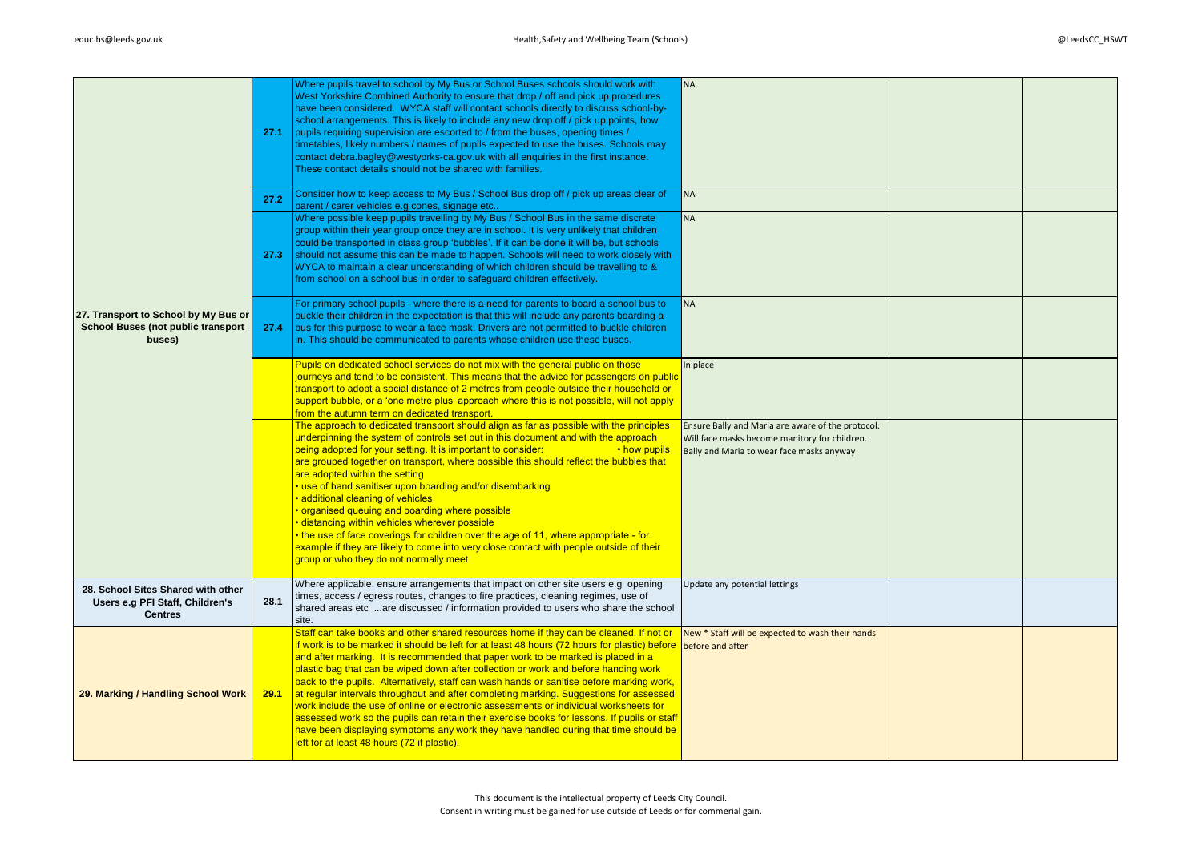|                                                                                             | 27.1 | Where pupils travel to school by My Bus or School Buses schools should work with<br>West Yorkshire Combined Authority to ensure that drop / off and pick up procedures<br>have been considered. WYCA staff will contact schools directly to discuss school-by-<br>school arrangements. This is likely to include any new drop off / pick up points, how<br>pupils requiring supervision are escorted to / from the buses, opening times /<br>timetables, likely numbers / names of pupils expected to use the buses. Schools may<br>contact debra.bagley@westyorks-ca.gov.uk with all enquiries in the first instance.<br>These contact details should not be shared with families.                                                                                                                                                                                                                     | <b>NA</b>                                                                                                                                       |  |
|---------------------------------------------------------------------------------------------|------|---------------------------------------------------------------------------------------------------------------------------------------------------------------------------------------------------------------------------------------------------------------------------------------------------------------------------------------------------------------------------------------------------------------------------------------------------------------------------------------------------------------------------------------------------------------------------------------------------------------------------------------------------------------------------------------------------------------------------------------------------------------------------------------------------------------------------------------------------------------------------------------------------------|-------------------------------------------------------------------------------------------------------------------------------------------------|--|
|                                                                                             | 27.2 | Consider how to keep access to My Bus / School Bus drop off / pick up areas clear of<br>parent / carer vehicles e.g cones, signage etc.<br>Where possible keep pupils travelling by My Bus / School Bus in the same discrete                                                                                                                                                                                                                                                                                                                                                                                                                                                                                                                                                                                                                                                                            | <b>NA</b><br><b>NA</b>                                                                                                                          |  |
| 27. Transport to School by My Bus or<br><b>School Buses (not public transport</b><br>buses) | 27.3 | group within their year group once they are in school. It is very unlikely that children<br>could be transported in class group 'bubbles'. If it can be done it will be, but schools<br>should not assume this can be made to happen. Schools will need to work closely with<br>WYCA to maintain a clear understanding of which children should be travelling to &<br>from school on a school bus in order to safeguard children effectively.                                                                                                                                                                                                                                                                                                                                                                                                                                                           |                                                                                                                                                 |  |
|                                                                                             | 27.4 | For primary school pupils - where there is a need for parents to board a school bus to<br>buckle their children in the expectation is that this will include any parents boarding a<br>bus for this purpose to wear a face mask. Drivers are not permitted to buckle children<br>in. This should be communicated to parents whose children use these buses.                                                                                                                                                                                                                                                                                                                                                                                                                                                                                                                                             | <b>NA</b>                                                                                                                                       |  |
|                                                                                             |      | Pupils on dedicated school services do not mix with the general public on those<br>journeys and tend to be consistent. This means that the advice for passengers on public<br>transport to adopt a social distance of 2 metres from people outside their household or<br>support bubble, or a 'one metre plus' approach where this is not possible, will not apply<br>from the autumn term on dedicated transport.                                                                                                                                                                                                                                                                                                                                                                                                                                                                                      | In place                                                                                                                                        |  |
|                                                                                             |      | The approach to dedicated transport should align as far as possible with the principles<br>underpinning the system of controls set out in this document and with the approach<br>being adopted for your setting. It is important to consider:<br>• how pupils<br>are grouped together on transport, where possible this should reflect the bubbles that<br>are adopted within the setting<br>use of hand sanitiser upon boarding and/or disembarking<br>· additional cleaning of vehicles<br>organised queuing and boarding where possible<br>distancing within vehicles wherever possible<br>• the use of face coverings for children over the age of 11, where appropriate - for<br>example if they are likely to come into very close contact with people outside of their<br>group or who they do not normally meet                                                                                 | Ensure Bally and Maria are aware of the protocol.<br>Will face masks become manitory for children.<br>Bally and Maria to wear face masks anyway |  |
| 28. School Sites Shared with other<br>Users e.g PFI Staff, Children's<br><b>Centres</b>     | 28.1 | Where applicable, ensure arrangements that impact on other site users e.g opening<br>times, access / egress routes, changes to fire practices, cleaning regimes, use of<br>shared areas etc are discussed / information provided to users who share the school<br>site.                                                                                                                                                                                                                                                                                                                                                                                                                                                                                                                                                                                                                                 | Update any potential lettings                                                                                                                   |  |
| 29. Marking / Handling School Work                                                          | 29.1 | Staff can take books and other shared resources home if they can be cleaned. If not or<br>if work is to be marked it should be left for at least 48 hours (72 hours for plastic) before before and after<br>and after marking. It is recommended that paper work to be marked is placed in a<br>plastic bag that can be wiped down after collection or work and before handing work<br>back to the pupils. Alternatively, staff can wash hands or sanitise before marking work,<br>at regular intervals throughout and after completing marking. Suggestions for assessed<br>work include the use of online or electronic assessments or individual worksheets for<br>assessed work so the pupils can retain their exercise books for lessons. If pupils or staff<br>have been displaying symptoms any work they have handled during that time should be<br>left for at least 48 hours (72 if plastic). | New * Staff will be expected to wash their hands                                                                                                |  |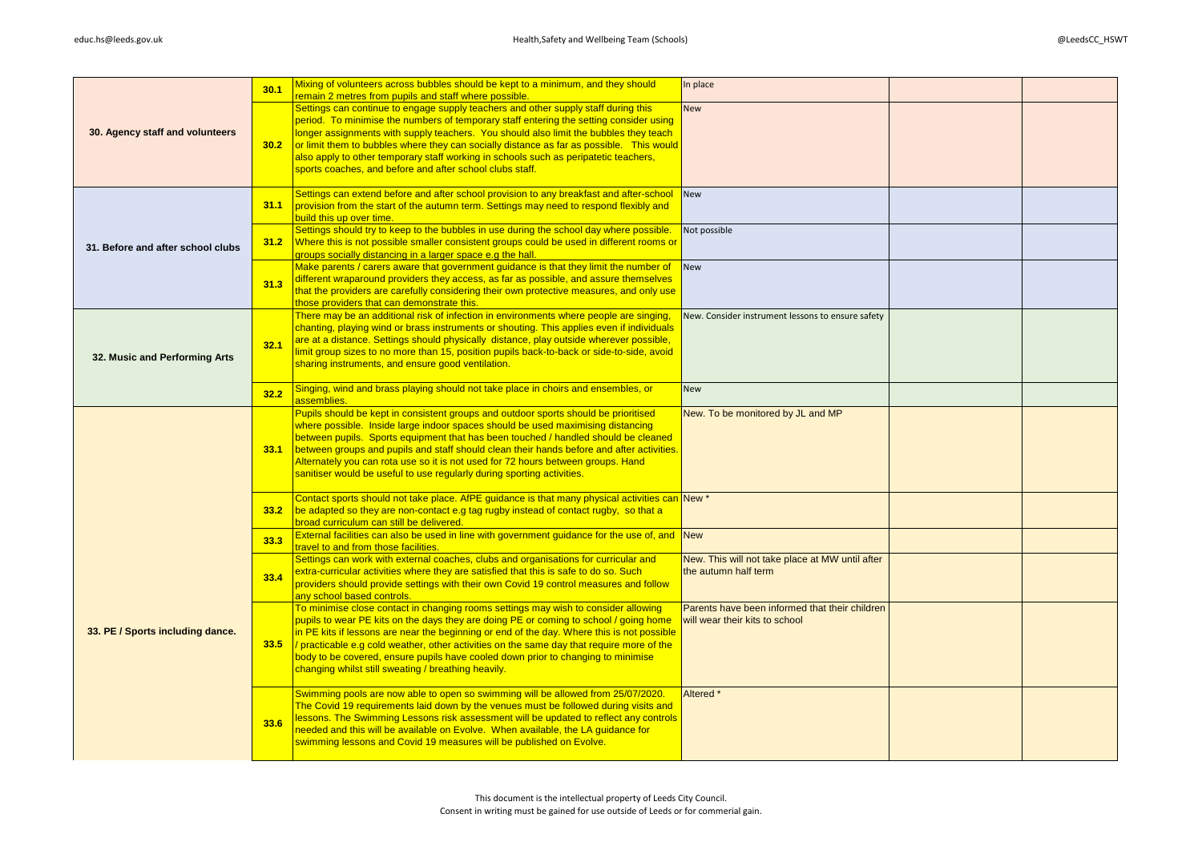|                                   | 30.1 | Mixing of volunteers across bubbles should be kept to a minimum, and they should                                                                                                          | In place                                                                |  |
|-----------------------------------|------|-------------------------------------------------------------------------------------------------------------------------------------------------------------------------------------------|-------------------------------------------------------------------------|--|
| 30. Agency staff and volunteers   |      | remain 2 metres from pupils and staff where possible.<br>Settings can continue to engage supply teachers and other supply staff during this                                               | <b>New</b>                                                              |  |
|                                   |      | period. To minimise the numbers of temporary staff entering the setting consider using<br>longer assignments with supply teachers. You should also limit the bubbles they teach           |                                                                         |  |
|                                   | 30.2 | or limit them to bubbles where they can socially distance as far as possible. This would                                                                                                  |                                                                         |  |
|                                   |      | also apply to other temporary staff working in schools such as peripatetic teachers,<br>sports coaches, and before and after school clubs staff.                                          |                                                                         |  |
|                                   |      |                                                                                                                                                                                           |                                                                         |  |
|                                   | 31.1 | Settings can extend before and after school provision to any breakfast and after-school<br>provision from the start of the autumn term. Settings may need to respond flexibly and         | New                                                                     |  |
|                                   |      | build this up over time.                                                                                                                                                                  |                                                                         |  |
|                                   | 31.2 | Settings should try to keep to the bubbles in use during the school day where possible.<br>Where this is not possible smaller consistent groups could be used in different rooms or       | Not possible                                                            |  |
| 31. Before and after school clubs |      | groups socially distancing in a larger space e.g the hall.                                                                                                                                |                                                                         |  |
|                                   |      | Make parents / carers aware that government guidance is that they limit the number of                                                                                                     | New                                                                     |  |
|                                   | 31.3 | different wraparound providers they access, as far as possible, and assure themselves<br>that the providers are carefully considering their own protective measures, and only use         |                                                                         |  |
|                                   |      | those providers that can demonstrate this.                                                                                                                                                |                                                                         |  |
|                                   |      | There may be an additional risk of infection in environments where people are singing,<br>chanting, playing wind or brass instruments or shouting. This applies even if individuals       | New. Consider instrument lessons to ensure safety                       |  |
|                                   | 32.1 | are at a distance. Settings should physically distance, play outside wherever possible,                                                                                                   |                                                                         |  |
| 32. Music and Performing Arts     |      | limit group sizes to no more than 15, position pupils back-to-back or side-to-side, avoid<br>sharing instruments, and ensure good ventilation.                                            |                                                                         |  |
|                                   |      |                                                                                                                                                                                           |                                                                         |  |
|                                   | 32.2 | Singing, wind and brass playing should not take place in choirs and ensembles, or<br>assemblies.                                                                                          | New                                                                     |  |
|                                   |      | Pupils should be kept in consistent groups and outdoor sports should be prioritised<br>where possible. Inside large indoor spaces should be used maximising distancing                    | New. To be monitored by JL and MP                                       |  |
|                                   |      | between pupils. Sports equipment that has been touched / handled should be cleaned                                                                                                        |                                                                         |  |
|                                   | 33.1 | between groups and pupils and staff should clean their hands before and after activities.                                                                                                 |                                                                         |  |
|                                   |      | Alternately you can rota use so it is not used for 72 hours between groups. Hand<br>sanitiser would be useful to use regularly during sporting activities.                                |                                                                         |  |
|                                   |      |                                                                                                                                                                                           |                                                                         |  |
|                                   | 33.2 | Contact sports should not take place. AfPE guidance is that many physical activities can New *<br>be adapted so they are non-contact e.g tag rugby instead of contact rugby, so that a    |                                                                         |  |
|                                   |      | broad curriculum can still be delivered.                                                                                                                                                  |                                                                         |  |
|                                   | 33.3 | External facilities can also be used in line with government guidance for the use of, and New<br>travel to and from those facilities.                                                     |                                                                         |  |
|                                   |      | Settings can work with external coaches, clubs and organisations for curricular and<br>extra-curricular activities where they are satisfied that this is safe to do so. Such              | New. This will not take place at MW until after<br>the autumn half term |  |
|                                   | 33.4 | providers should provide settings with their own Covid 19 control measures and follow                                                                                                     |                                                                         |  |
|                                   |      | any school based controls.<br>To minimise close contact in changing rooms settings may wish to consider allowing                                                                          | Parents have been informed that their children                          |  |
|                                   |      | pupils to wear PE kits on the days they are doing PE or coming to school / going home                                                                                                     | will wear their kits to school                                          |  |
| 33. PE / Sports including dance.  |      | in PE kits if lessons are near the beginning or end of the day. Where this is not possible                                                                                                |                                                                         |  |
|                                   | 33.5 | $\frac{1}{2}$ practicable e.g cold weather, other activities on the same day that require more of the<br>body to be covered, ensure pupils have cooled down prior to changing to minimise |                                                                         |  |
|                                   |      | changing whilst still sweating / breathing heavily.                                                                                                                                       |                                                                         |  |
|                                   |      | Swimming pools are now able to open so swimming will be allowed from 25/07/2020.                                                                                                          | Altered *                                                               |  |
|                                   |      | The Covid 19 requirements laid down by the venues must be followed during visits and<br>lessons. The Swimming Lessons risk assessment will be updated to reflect any controls             |                                                                         |  |
|                                   | 33.6 | needed and this will be available on Evolve. When available, the LA guidance for                                                                                                          |                                                                         |  |
|                                   |      | swimming lessons and Covid 19 measures will be published on Evolve.                                                                                                                       |                                                                         |  |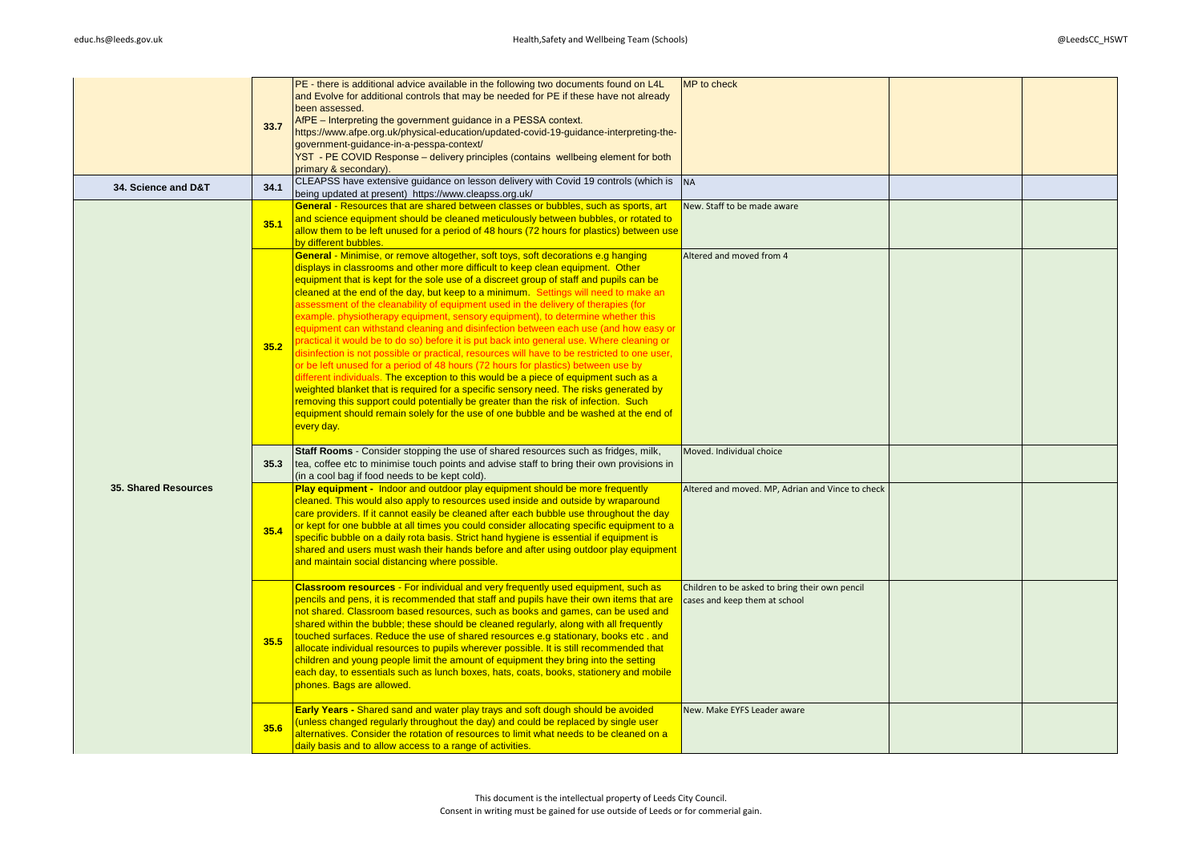|                             | 33.7 | PE - there is additional advice available in the following two documents found on L4L<br>and Evolve for additional controls that may be needed for PE if these have not already<br>been assessed.<br>AfPE - Interpreting the government guidance in a PESSA context.<br>https://www.afpe.org.uk/physical-education/updated-covid-19-guidance-interpreting-the-<br>government-guidance-in-a-pesspa-context/<br>YST - PE COVID Response - delivery principles (contains wellbeing element for both<br>primary & secondary).                                                                                                                                                                                                                                                                                                                                                                                                                                                                                                                                                                                                                                                                                                                                                            | MP to check                                                                     |  |
|-----------------------------|------|--------------------------------------------------------------------------------------------------------------------------------------------------------------------------------------------------------------------------------------------------------------------------------------------------------------------------------------------------------------------------------------------------------------------------------------------------------------------------------------------------------------------------------------------------------------------------------------------------------------------------------------------------------------------------------------------------------------------------------------------------------------------------------------------------------------------------------------------------------------------------------------------------------------------------------------------------------------------------------------------------------------------------------------------------------------------------------------------------------------------------------------------------------------------------------------------------------------------------------------------------------------------------------------|---------------------------------------------------------------------------------|--|
| 34. Science and D&T         | 34.1 | CLEAPSS have extensive guidance on lesson delivery with Covid 19 controls (which is<br>being updated at present) https://www.cleapss.org.uk/                                                                                                                                                                                                                                                                                                                                                                                                                                                                                                                                                                                                                                                                                                                                                                                                                                                                                                                                                                                                                                                                                                                                         | <b>NA</b>                                                                       |  |
|                             | 35.1 | General - Resources that are shared between classes or bubbles, such as sports, art<br>and science equipment should be cleaned meticulously between bubbles, or rotated to<br>allow them to be left unused for a period of 48 hours (72 hours for plastics) between use<br>by different bubbles.                                                                                                                                                                                                                                                                                                                                                                                                                                                                                                                                                                                                                                                                                                                                                                                                                                                                                                                                                                                     | New. Staff to be made aware                                                     |  |
|                             | 35.2 | General - Minimise, or remove altogether, soft toys, soft decorations e.g hanging<br>displays in classrooms and other more difficult to keep clean equipment. Other<br>equipment that is kept for the sole use of a discreet group of staff and pupils can be<br>cleaned at the end of the day, but keep to a minimum. Settings will need to make an<br>assessment of the cleanability of equipment used in the delivery of therapies (for<br>example, physiotherapy equipment, sensory equipment), to determine whether this<br>equipment can withstand cleaning and disinfection between each use (and how easy or<br>practical it would be to do so) before it is put back into general use. Where cleaning or<br>disinfection is not possible or practical, resources will have to be restricted to one user,<br>or be left unused for a period of 48 hours (72 hours for plastics) between use by<br>different individuals. The exception to this would be a piece of equipment such as a<br>weighted blanket that is required for a specific sensory need. The risks generated by<br>removing this support could potentially be greater than the risk of infection. Such<br>equipment should remain solely for the use of one bubble and be washed at the end of<br>every day. | Altered and moved from 4                                                        |  |
|                             | 35.3 | Staff Rooms - Consider stopping the use of shared resources such as fridges, milk,<br>tea, coffee etc to minimise touch points and advise staff to bring their own provisions in<br>(in a cool bag if food needs to be kept cold).                                                                                                                                                                                                                                                                                                                                                                                                                                                                                                                                                                                                                                                                                                                                                                                                                                                                                                                                                                                                                                                   | Moved. Individual choice                                                        |  |
| <b>35. Shared Resources</b> | 35.4 | Play equipment - Indoor and outdoor play equipment should be more frequently<br>cleaned. This would also apply to resources used inside and outside by wraparound<br>care providers. If it cannot easily be cleaned after each bubble use throughout the day<br>or kept for one bubble at all times you could consider allocating specific equipment to a<br>specific bubble on a daily rota basis. Strict hand hygiene is essential if equipment is<br>shared and users must wash their hands before and after using outdoor play equipment<br>and maintain social distancing where possible.                                                                                                                                                                                                                                                                                                                                                                                                                                                                                                                                                                                                                                                                                       | Altered and moved. MP, Adrian and Vince to check                                |  |
|                             | 35.5 | Classroom resources - For individual and very frequently used equipment, such as<br>pencils and pens, it is recommended that staff and pupils have their own items that are<br>not shared. Classroom based resources, such as books and games, can be used and<br>shared within the bubble; these should be cleaned regularly, along with all frequently<br>touched surfaces. Reduce the use of shared resources e.g stationary, books etc. and<br>allocate individual resources to pupils wherever possible. It is still recommended that<br>children and young people limit the amount of equipment they bring into the setting<br>each day, to essentials such as lunch boxes, hats, coats, books, stationery and mobile<br>phones. Bags are allowed.                                                                                                                                                                                                                                                                                                                                                                                                                                                                                                                             | Children to be asked to bring their own pencil<br>cases and keep them at school |  |
|                             | 35.6 | Early Years - Shared sand and water play trays and soft dough should be avoided<br>(unless changed regularly throughout the day) and could be replaced by single user<br>alternatives. Consider the rotation of resources to limit what needs to be cleaned on a<br>daily basis and to allow access to a range of activities.                                                                                                                                                                                                                                                                                                                                                                                                                                                                                                                                                                                                                                                                                                                                                                                                                                                                                                                                                        | New. Make EYFS Leader aware                                                     |  |